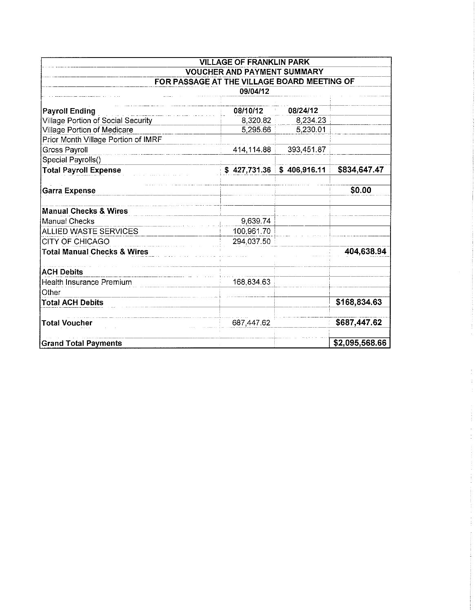| <b>VILLAGE OF FRANKLIN PARK</b><br><b>VOUCHER AND PAYMENT SUMMARY</b> |              |              |                |  |  |  |  |
|-----------------------------------------------------------------------|--------------|--------------|----------------|--|--|--|--|
|                                                                       |              |              |                |  |  |  |  |
|                                                                       | 09/04/12     |              |                |  |  |  |  |
|                                                                       |              |              |                |  |  |  |  |
| <b>Payroll Ending</b>                                                 | 08/10/12     | 08/24/12     |                |  |  |  |  |
| Village Portion of Social Security                                    | 8,320.82     | 8,234.23     |                |  |  |  |  |
| Village Portion of Medicare                                           | 5,295.66     | 5,230.01     |                |  |  |  |  |
| Prior Month Village Portion of IMRF                                   |              |              |                |  |  |  |  |
| <b>Gross Payroll</b>                                                  | 414,114.88   | 393,451.87   |                |  |  |  |  |
| Special Payrolls()                                                    |              |              |                |  |  |  |  |
| <b>Total Payroll Expense</b>                                          | \$427,731.36 | \$406,916.11 | \$834,647.47   |  |  |  |  |
| <b>Garra Expense</b>                                                  |              |              | \$0.00         |  |  |  |  |
| <b>Manual Checks &amp; Wires</b>                                      |              |              |                |  |  |  |  |
| <b>Manual Checks</b>                                                  | 9,639.74     |              |                |  |  |  |  |
| ALLIED WASTE SERVICES                                                 | 100,961.70   |              |                |  |  |  |  |
| <b>CITY OF CHICAGO</b>                                                | 294,037.50   |              |                |  |  |  |  |
| <b>Total Manual Checks &amp; Wires</b>                                |              |              | 404,638.94     |  |  |  |  |
| <b>ACH Debits</b>                                                     |              |              |                |  |  |  |  |
| Health Insurance Premium                                              | 168,834.63   |              |                |  |  |  |  |
| Other                                                                 |              |              |                |  |  |  |  |
| <b>Total ACH Debits</b>                                               |              |              | \$168,834.63   |  |  |  |  |
| <b>Total Voucher</b>                                                  | 687,447.62   |              | \$687,447.62   |  |  |  |  |
| <b>Grand Total Payments</b>                                           |              |              | \$2,095,568.66 |  |  |  |  |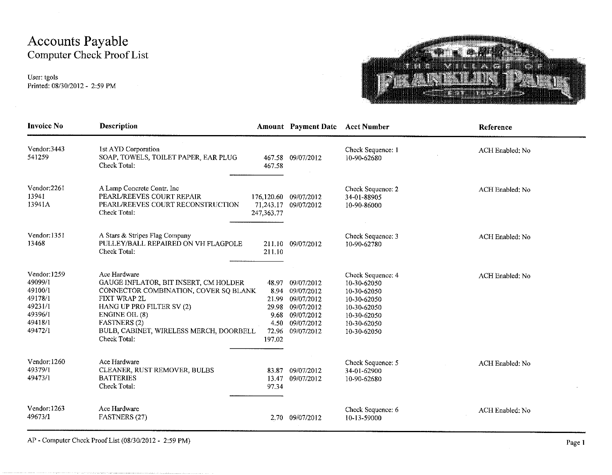# Accounts Payable Computer Check Proof List

User: tgols Printed: 08/30/2012 - 2:59 PM

 $\sim$   $\sim$ 



| <b>Invoice No</b>                                                                         | <b>Description</b>                                                                                                                                                                                                                              |                                                            | <b>Amount</b> Payment Date                                                                          | <b>Acct Number</b>                                                                                                         | Reference       |
|-------------------------------------------------------------------------------------------|-------------------------------------------------------------------------------------------------------------------------------------------------------------------------------------------------------------------------------------------------|------------------------------------------------------------|-----------------------------------------------------------------------------------------------------|----------------------------------------------------------------------------------------------------------------------------|-----------------|
| Vendor: 3443<br>541259                                                                    | 1st AYD Corporation<br>SOAP, TOWELS, TOILET PAPER, EAR PLUG<br>Check Total:                                                                                                                                                                     | 467.58                                                     | 467.58 09/07/2012                                                                                   | Check Sequence: 1<br>10-90-62680                                                                                           | ACH Enabled: No |
| Vendor:2261<br>13941<br>13941A                                                            | A Lamp Concrete Contr. Inc<br>PEARL/REEVES COURT REPAIR<br>PEARL/REEVES COURT RECONSTRUCTION<br>Check Total:                                                                                                                                    | 176,120.60<br>71,243.17<br>247, 363. 77                    | 09/07/2012<br>09/07/2012                                                                            | Check Sequence: 2<br>34-01-88905<br>10-90-86000                                                                            | ACH Enabled: No |
| Vendor: 1351<br>13468                                                                     | A Stars & Stripes Flag Company<br>PULLEY/BALL REPAIRED ON VH FLAGPOLE<br>Check Total:                                                                                                                                                           | 211.10                                                     | 211.10 09/07/2012                                                                                   | Check Sequence: 3<br>10-90-62780                                                                                           | ACH Enabled: No |
| Vendor: 1259<br>49099/1<br>49100/1<br>49178/1<br>49231/1<br>49396/1<br>49418/1<br>49472/1 | Ace Hardware<br>GAUGE INFLATOR, BIT INSERT, CM HOLDER<br>CONNECTOR COMBINATION, COVER SQ BLANK<br>FIXT WRAP 2L<br>HANG UP PRO FILTER SV (2)<br>ENGINE OIL (8)<br><b>FASTNERS</b> (2)<br>BULB, CABINET, WIRELESS MERCH, DOORBELL<br>Check Total: | 48.97<br>21.99<br>29.98<br>9.68<br>4.50<br>72.96<br>197.02 | 09/07/2012<br>8.94 09/07/2012<br>09/07/2012<br>09/07/2012<br>09/07/2012<br>09/07/2012<br>09/07/2012 | Check Sequence: 4<br>10-30-62050<br>10-30-62050<br>10-30-62050<br>10-30-62050<br>10-30-62050<br>10-30-62050<br>10-30-62050 | ACH Enabled: No |
| Vendor: 1260<br>49379/1<br>49473/1                                                        | Ace Hardware<br>CLEANER, RUST REMOVER, BULBS<br><b>BATTERIES</b><br>Check Total:                                                                                                                                                                | 83.87<br>13.47<br>97.34                                    | 09/07/2012<br>09/07/2012                                                                            | Check Sequence: 5<br>34-01-62900<br>10-90-62680                                                                            | ACH Enabled: No |
| Vendor: 1263<br>49673/1                                                                   | Ace Hardware<br>FASTNERS (27)                                                                                                                                                                                                                   |                                                            | 2.70 09/07/2012                                                                                     | Check Sequence: 6<br>10-13-59000                                                                                           | ACH Enabled: No |

AP - Computer Check Proof List (08/30/2012 - 2:59 PM)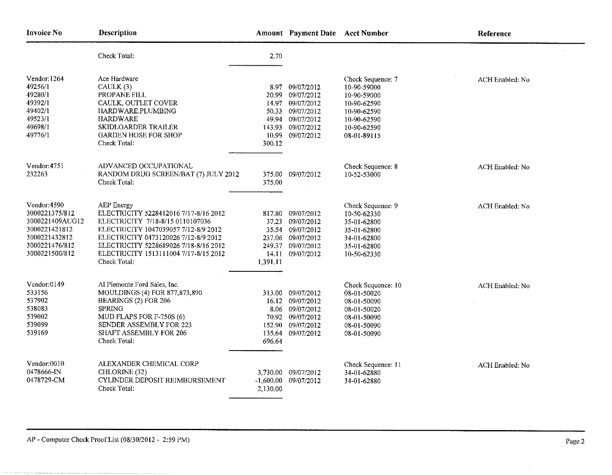| <b>Invoice No</b>                                                                                                       | Description                                                                                                                                                                                                                                                               |                                   | Amount Payment Date Acct Number                                                                                        |                                                                                                                            | Reference       |
|-------------------------------------------------------------------------------------------------------------------------|---------------------------------------------------------------------------------------------------------------------------------------------------------------------------------------------------------------------------------------------------------------------------|-----------------------------------|------------------------------------------------------------------------------------------------------------------------|----------------------------------------------------------------------------------------------------------------------------|-----------------|
|                                                                                                                         | Check Total:                                                                                                                                                                                                                                                              | 2.70                              |                                                                                                                        |                                                                                                                            |                 |
| Vendor: 1264<br>49256/1<br>49280/1<br>49392/1<br>49402/1<br>49523/1<br>49698/1<br>49776/1                               | Ace Hardware<br>CAULK (3)<br>PROPANE FILL<br>CAULK, OUTLET COVER<br>HARDWARE.PLUMBING<br><b>HARDWARE</b><br>SKIDLOARDER TRAILER<br><b>GARDEN HOSE FOR SHOP</b><br>Check Total:                                                                                            | 20.99<br>14.97<br>49.94<br>300.12 | 8.97 09/07/2012<br>09/07/2012<br>09/07/2012<br>50.33 09/07/2012<br>09/07/2012<br>143.93 09/07/2012<br>10.99 09/07/2012 | Check Sequence: 7<br>10-90-59000<br>10-90-59000<br>10-90-62590<br>10-90-62590<br>10-90-62590<br>10-90-62590<br>08-01-89115 | ACH Enabled: No |
| Vendor: 4751<br>232263                                                                                                  | ADVANCED OCCUPATIONAL<br>RANDOM DRUG SCREEN/BAT (7) JULY 2012<br>Check Total:                                                                                                                                                                                             | 375.00                            | 375.00 09/07/2012                                                                                                      | Check Sequence: 8<br>10-52-53000                                                                                           | ACH Enabled: No |
| Vendor: 4590<br>3000221375/812<br>3000221409AUG12<br>3000221421812<br>3000221432812<br>3000221476/812<br>3000221500/812 | AEP Energy<br>ELECTRICITY 5228412016 7/17-8/16 2012<br>ELECTRICITY 7/18-8/15 0110107036<br>ELECTRICITY 1047039057 7/12-8/9 2012<br>ELECTRICITY 0473120026 7/12-8/9 2012<br>ELECTRICITY 5228689026 7/18-8/16 2012<br>ELECTRICITY 1513111004 7/17-8/15 2012<br>Check Total: | 37.23<br>1,391.11                 | 817.80 09/07/2012<br>09/07/2012<br>35.54 09/07/2012<br>237.06 09/07/2012<br>249.37 09/07/2012<br>14.11 09/07/2012      | Check Sequence: 9<br>10-50-62330<br>35-01-62800<br>35-01-62800<br>34-01-62800<br>35-01-62800<br>10-50-62330                | ACH Enabled: No |
| Vendor:0149<br>533156<br>537902<br>538083<br>539002<br>539099<br>539169                                                 | Al Piemonte Ford Sales, Inc.<br>MOULDINGS (4) FOR 877,873,890<br>BEARINGS (2) FOR 206<br><b>SPRING</b><br>MUD FLAPS FOR F-750S (6)<br>SENDER ASSEMBLY FOR 223<br>SHAFT ASSEMBLY FOR 206<br>Check Total:                                                                   | 135.64<br>696.64                  | 313.00 09/07/2012<br>16.12 09/07/2012<br>8.06 09/07/2012<br>70.92 09/07/2012<br>152.90 09/07/2012<br>09/07/2012        | Check Sequence: 10<br>08-01-50020<br>08-01-50090<br>08-01-50020<br>08-01-50090<br>08-01-50090<br>08-01-50090               | ACH Enabled: No |
| Vendor:0010<br>0478666-IN<br>0478729-CM                                                                                 | ALEXANDER CHEMICAL CORP<br>CHLORINE (32)<br>CYLINDER DEPOSIT REIMBURSEMENT<br>Check Total:                                                                                                                                                                                | 2,130.00                          | 3,730.00 09/07/2012<br>$-1,600.00$ 09/07/2012                                                                          | Check Sequence: 11<br>34-01-62880<br>34-01-62880                                                                           | ACH Enabled: No |

mana a shekara ya matsayin

 $\sim 10^{-1}$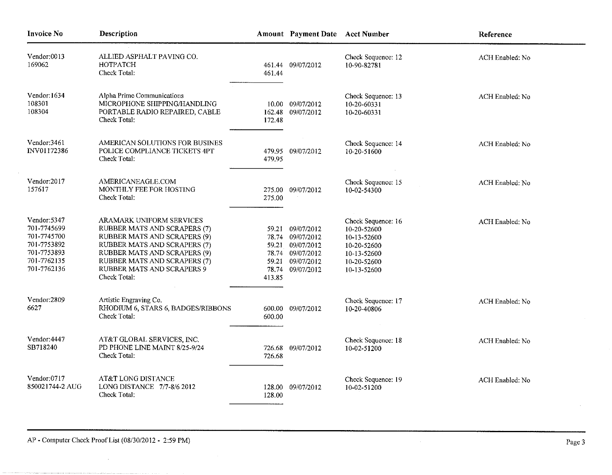| <b>Invoice No</b>                                                                                      | Description                                                                                                                                                                                                                                   |                                            | Amount Payment Date Acct Number                                                              |                                                                                                              | Reference       |
|--------------------------------------------------------------------------------------------------------|-----------------------------------------------------------------------------------------------------------------------------------------------------------------------------------------------------------------------------------------------|--------------------------------------------|----------------------------------------------------------------------------------------------|--------------------------------------------------------------------------------------------------------------|-----------------|
| Vendor:0013<br>169062                                                                                  | ALLIED ASPHALT PAVING CO.<br>HOTPATCH<br>Check Total:                                                                                                                                                                                         | 461.44                                     | 461.44 09/07/2012                                                                            | Check Sequence: 12<br>10-90-82781                                                                            | ACH Enabled: No |
| Vendor 1634<br>108301<br>108304                                                                        | Alpha Prime Communications<br>MICROPHONE SHIPPING/HANDLING<br>PORTABLE RADIO REPAIRED, CABLE<br>Check Total:                                                                                                                                  | 172.48                                     | 10.00 09/07/2012<br>162.48 09/07/2012                                                        | Check Sequence: 13<br>10-20-60331<br>10-20-60331                                                             | ACH Enabled: No |
| Vendor:3461<br>INV01172386                                                                             | AMERICAN SOLUTIONS FOR BUSINES<br>POLICE COMPLIANCE TICKETS 4PT<br>Check Total:                                                                                                                                                               | 479.95                                     | 479.95 09/07/2012                                                                            | Check Sequence: 14<br>10-20-51600                                                                            | ACH Enabled: No |
| Vendor:2017<br>157617                                                                                  | AMERICANEAGLE.COM<br>MONTHLY FEE FOR HOSTING<br>Check Total:                                                                                                                                                                                  | 275.00<br>275.00                           | 09/07/2012                                                                                   | Check Sequence: 15<br>10-02-54300                                                                            | ACH Enabled: No |
| Vendor: 5347<br>701-7745699<br>701-7745700<br>701-7753892<br>701-7753893<br>701-7762135<br>701-7762136 | <b>ARAMARK UNIFORM SERVICES</b><br>RUBBER MATS AND SCRAPERS (7)<br>RUBBER MATS AND SCRAPERS (9)<br>RUBBER MATS AND SCRAPERS (7)<br>RUBBER MATS AND SCRAPERS (9)<br>RUBBER MATS AND SCRAPERS (7)<br>RUBBER MATS AND SCRAPERS 9<br>Check Total: | 78.74<br>78.74<br>59.21<br>78.74<br>413.85 | 59.21 09/07/2012<br>09/07/2012<br>59.21 09/07/2012<br>09/07/2012<br>09/07/2012<br>09/07/2012 | Check Sequence: 16<br>10-20-52600<br>10-13-52600<br>10-20-52600<br>10-13-52600<br>10-20-52600<br>10-13-52600 | ACH Enabled: No |
| Vendor:2809<br>6627                                                                                    | Artistic Engraving Co.<br>RHODIUM 6, STARS 6, BADGES/RIBBONS<br>Check Total:                                                                                                                                                                  | 600.00                                     | 600.00 09/07/2012                                                                            | Check Sequence: 17<br>10-20-40806                                                                            | ACH Enabled: No |
| Vendor: 4447<br>SB718240                                                                               | AT&T GLOBAL SERVICES, INC.<br>PD PHONE LINE MAINT 8/25-9/24<br>Check Total:                                                                                                                                                                   | 726.68                                     | 726.68 09/07/2012                                                                            | Check Sequence: 18<br>10-02-51200                                                                            | ACH Enabled: No |
| Vendor 0717<br>850021744-2 AUG                                                                         | AT&T LONG DISTANCE<br>LONG DISTANCE 7/7-8/6 2012<br>Check Total:                                                                                                                                                                              | 128.00<br>128.00                           | 09/07/2012                                                                                   | Check Sequence: 19<br>10-02-51200                                                                            | ACH Enabled: No |

 $\alpha$ 

 $\bar{z}$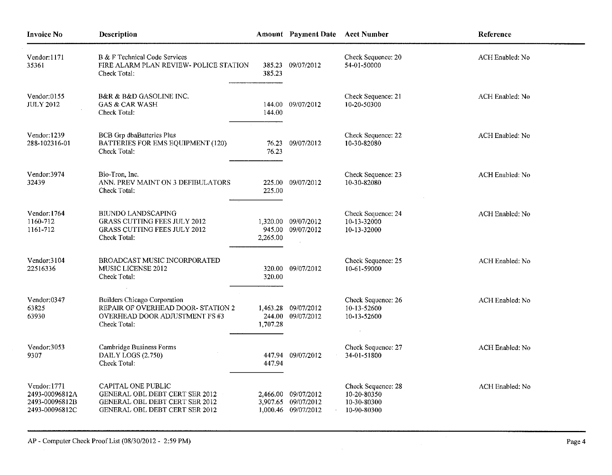| <b>Invoice No</b>                                                 | Description                                                                                                                     |                  | Amount Payment Date Acct Number                                   |                                                                 | Reference              |
|-------------------------------------------------------------------|---------------------------------------------------------------------------------------------------------------------------------|------------------|-------------------------------------------------------------------|-----------------------------------------------------------------|------------------------|
| Vendor:1171<br>35361                                              | B & F Technical Code Services<br>FIRE ALARM PLAN REVIEW- POLICE STATION<br>Check Total:                                         | 385.23<br>385.23 | 09/07/2012                                                        | Check Sequence: 20<br>54-01-50000                               | ACH Enabled: No        |
| Vendor:0155<br><b>JULY 2012</b>                                   | <b>B&amp;R &amp; B&amp;D GASOLINE INC.</b><br><b>GAS &amp; CAR WASH</b><br>Check Total:                                         | 144.00           | 144.00 09/07/2012                                                 | Check Sequence: 21<br>10-20-50300                               | ACH Enabled: No        |
| Vendor: 1239<br>288-102316-01                                     | <b>BCB</b> Grp dbaBatteries Plus<br>BATTERIES FOR EMS EQUIPMENT (120)<br>Check Total:                                           | 76.23            | 76.23 09/07/2012                                                  | Check Sequence: 22<br>10-30-82080                               | ACH Enabled: No        |
| Vendor: 3974<br>32439                                             | Bio-Tron, Inc.<br>ANN. PREV MAINT ON 3 DEFIBULATORS<br>Check Total:                                                             | 225.00           | 225.00 09/07/2012                                                 | Check Sequence: 23<br>10-30-82080                               | <b>ACH Enabled: No</b> |
| Vendor 1764<br>1160-712<br>1161-712                               | <b>BIUNDO LANDSCAPING</b><br><b>GRASS CUTTING FEES JULY 2012</b><br><b>GRASS CUTTING FEES JULY 2012</b><br>Check Total:         | 2,265.00         | 1,320.00 09/07/2012<br>945.00 09/07/2012                          | Check Sequence: 24<br>10-13-32000<br>10-13-32000                | ACH Enabled: No        |
| Vendor: 3104<br>22516336                                          | BROADCAST MUSIC INCORPORATED<br>MUSIC LICENSE 2012<br>Check Total:                                                              | 320.00           | 320.00 09/07/2012                                                 | Check Sequence: 25<br>10-61-59000                               | ACH Enabled: No        |
| Vendor 0347<br>63825<br>63930                                     | <b>Builders Chicago Corporation</b><br>REPAIR OF OVERHEAD DOOR- STATION 2<br>OVERHEAD DOOR ADJUSTMENT FS #3<br>Check Total:     | 1,707.28         | 1,463.28 09/07/2012<br>244.00 09/07/2012                          | Check Sequence: 26<br>10-13-52600<br>10-13-52600                | ACH Enabled: No        |
| Vendor: 3053<br>9307                                              | Cambridge Business Forms<br>DAILY LOGS (2.750)<br>Check Total:                                                                  | 447.94           | 447.94 09/07/2012                                                 | Check Sequence: 27<br>34-01-51800                               | ACH Enabled: No        |
| Vendor:1771<br>2493-00096812A<br>2493-00096812B<br>2493-00096812C | CAPITAL ONE PUBLIC<br>GENERAL OBL DEBT CERT SER 2012<br>GENERAL OBL DEBT CERT SER 2012<br><b>GENERAL OBL DEBT CERT SER 2012</b> |                  | 2,466.00 09/07/2012<br>3,907.65 09/07/2012<br>1,000.46 09/07/2012 | Check Sequence: 28<br>10-20-80350<br>10-30-80300<br>10-90-80300 | ACH Enabled: No        |

 $\sim 10^{-1}$ 

 $\sim 10^{11}$  km  $^{-1}$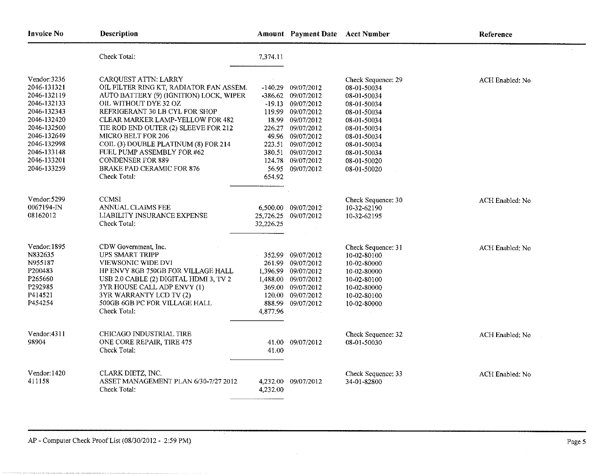| <b>Invoice No</b>                                                                                                                                                                | Description                                                                                                                                                                                                                                                                                                                                                                                                                          |                     | Amount Payment Date Acct Number                                                                                                                                                                                              |                                                                                                                                                                                         | Reference       |
|----------------------------------------------------------------------------------------------------------------------------------------------------------------------------------|--------------------------------------------------------------------------------------------------------------------------------------------------------------------------------------------------------------------------------------------------------------------------------------------------------------------------------------------------------------------------------------------------------------------------------------|---------------------|------------------------------------------------------------------------------------------------------------------------------------------------------------------------------------------------------------------------------|-----------------------------------------------------------------------------------------------------------------------------------------------------------------------------------------|-----------------|
|                                                                                                                                                                                  | Check Total:                                                                                                                                                                                                                                                                                                                                                                                                                         | 7,374.11            |                                                                                                                                                                                                                              |                                                                                                                                                                                         |                 |
| Vendor:3236<br>2046-131321<br>2046-132119<br>2046-132133<br>2046-132343<br>2046-132420<br>2046-132500<br>2046-132649<br>2046-132998<br>2046-133148<br>2046-133201<br>2046-133259 | CARQUEST ATTN: LARRY<br>OIL FILTER RING KT, RADIATOR FAN ASSEM.<br>AUTO BATTERY (9) (IGNITION) LOCK, WIPER<br>OIL WITHOUT DYE 32 OZ<br>REFRIGERANT 30 LB CYL FOR SHOP<br>CLEAR MARKER LAMP-YELLOW FOR 482<br>TIE ROD END OUTER (2) SLEEVE FOR 212<br><b>MICRO BELT FOR 206</b><br>COIL (3) DOUBLE PLATINUM (8) FOR 214<br>FUEL PUMP ASSEMBLY FOR #62<br><b>CONDENSER FOR 889</b><br><b>BRAKE PAD CERAMIC FOR 876</b><br>Check Total: | $-140.29$<br>654.92 | 09/07/2012<br>-386.62 09/07/2012<br>$-19.13$ 09/07/2012<br>119.99 09/07/2012<br>18.99 09/07/2012<br>226.27 09/07/2012<br>49.96 09/07/2012<br>223.51 09/07/2012<br>380.51 09/07/2012<br>124.78 09/07/2012<br>56.95 09/07/2012 | Check Sequence: 29<br>08-01-50034<br>08-01-50034<br>08-01-50034<br>08-01-50034<br>08-01-50034<br>08-01-50034<br>08-01-50034<br>08-01-50034<br>08-01-50034<br>08-01-50020<br>08-01-50020 | ACH Enabled: No |
| Vendor: 5299<br>0067194-IN<br>08162012                                                                                                                                           | <b>CCMSI</b><br>ANNUAL CLAIMS FEE<br>LIABILITY INSURANCE EXPENSE<br>Check Total:                                                                                                                                                                                                                                                                                                                                                     | 32,226.25           | 6,500.00 09/07/2012<br>25,726.25 09/07/2012                                                                                                                                                                                  | Check Sequence: 30<br>10-32-62190<br>10-32-62195                                                                                                                                        | ACH Enabled: No |
| Vendor: 1895<br>N832635<br>N955187<br>P200483<br>P265660<br>P292985<br>P414521<br>P454254                                                                                        | CDW Government, Inc.<br><b>UPS SMART TRIPP</b><br>VIEWSONIC WIDE DVI<br>HP ENVY 8GB 750GB FOR VILLAGE HALL<br>USB 2.0 CABLE (2) DIGITAL HDMI 3, TV 2<br>3YR HOUSE CALL ADP ENVY (1)<br>3YR WARRANTY LCD TV (2)<br>500GB 6GB PC FOR VILLAGE HALL<br>Check Total:                                                                                                                                                                      | 261,99<br>4,877.96  | 352.99 09/07/2012<br>09/07/2012<br>1,396.99 09/07/2012<br>1,488.00 09/07/2012<br>369.00 09/07/2012<br>120.00 09/07/2012<br>888.99 09/07/2012                                                                                 | Check Sequence: 31<br>10-02-80100<br>10-02-80000<br>10-02-80000<br>10-02-80100<br>10-02-80000<br>10-02-80100<br>10-02-80000                                                             | ACH Enabled: No |
| Vendor: 4311<br>98904                                                                                                                                                            | CHICAGO INDUSTRIAL TIRE<br>ONE CORE REPAIR, TIRE 475<br>Check Total:                                                                                                                                                                                                                                                                                                                                                                 | 41.00               | 41.00 09/07/2012                                                                                                                                                                                                             | Check Sequence: 32<br>08-01-50030                                                                                                                                                       | ACH Enabled: No |
| Vendor: 1420<br>411158                                                                                                                                                           | CLARK DIETZ, INC.<br>ASSET MANAGEMENT PLAN 6/30-7/27 2012<br>Check Total:                                                                                                                                                                                                                                                                                                                                                            | 4,232.00            | 4,232,00 09/07/2012                                                                                                                                                                                                          | Check Sequence: 33<br>34-01-82800                                                                                                                                                       | ACH Enabled: No |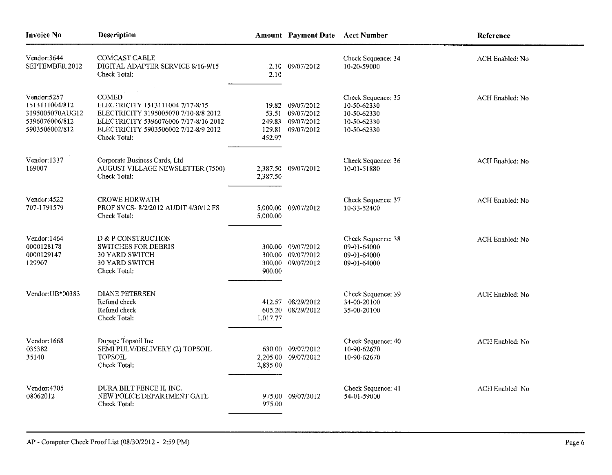| <b>Invoice No</b>                                                                    | <b>Description</b>                                                                                                                                                                        |                            | <b>Amount Payment Date Acct Number</b>                           |                                                                                | Reference       |
|--------------------------------------------------------------------------------------|-------------------------------------------------------------------------------------------------------------------------------------------------------------------------------------------|----------------------------|------------------------------------------------------------------|--------------------------------------------------------------------------------|-----------------|
| Vendor: 3644<br>SEPTEMBER 2012                                                       | <b>COMCAST CABLE</b><br>DIGITAL ADAPTER SERVICE 8/16-9/15<br>Check Total:                                                                                                                 | 2.10                       | 2.10 09/07/2012                                                  | Check Sequence: 34<br>10-20-59000                                              | ACH Enabled: No |
| Vendor:5257<br>1513111004/812<br>3195005070AUG12<br>5396076006/812<br>5903506002/812 | <b>COMED</b><br>ELECTRICITY 1513111004 7/17-8/15<br>ELECTRICITY 3195005070 7/10-8/8 2012<br>ELECTRICITY 5396076006 7/17-8/16 2012<br>ELECTRICITY 5903506002 7/12-8/9 2012<br>Check Total: | 249.83<br>129.81<br>452.97 | 19.82 09/07/2012<br>53.51 09/07/2012<br>09/07/2012<br>09/07/2012 | Check Sequence: 35<br>10-50-62330<br>10-50-62330<br>10-50-62330<br>10-50-62330 | ACH Enabled: No |
| Vendor: 1337<br>169007                                                               | Corporate Business Cards, Ltd<br>AUGUST VILLAGE NEWSLETTER (7500)<br>Check Total:                                                                                                         | 2,387.50                   | 2,387.50 09/07/2012                                              | Check Sequence: 36<br>10-01-51880                                              | ACH Enabled: No |
| Vendor: 4522<br>707-1791579                                                          | <b>CROWE HORWATH</b><br>PROF SVCS-8/2/2012 AUDIT 4/30/12 FS<br>Check Total:                                                                                                               | 5.000.00                   | 5,000.00 09/07/2012                                              | Check Sequence: 37<br>10-33-52400                                              | ACH Enabled: No |
| Vendor: 1464<br>0000128178<br>0000129147<br>129907                                   | D & P CONSTRUCTION<br><b>SWITCHES FOR DEBRIS</b><br><b>30 YARD SWITCH</b><br>30 YARD SWITCH<br>Check Total:                                                                               | 300.00<br>300.00<br>900.00 | 300.00 09/07/2012<br>09/07/2012<br>09/07/2012                    | Check Sequence: 38<br>09-01-64000<br>09-01-64000<br>09-01-64000                | ACH Enabled: No |
| Vendor: UB*00383                                                                     | <b>DIANE PETERSEN</b><br>Refund check<br>Refund check<br>Check Total:                                                                                                                     | 1,017.77                   | 412.57 08/29/2012<br>605.20 08/29/2012                           | Check Sequence: 39<br>34-00-20100<br>35-00-20100                               | ACH Enabled: No |
| Vendor: 1668<br>035382<br>35140                                                      | Dupage Topsoil Inc<br>SEMI PULV/DELIVERY (2) TOPSOIL<br><b>TOPSOIL</b><br>Check Total:                                                                                                    | 630.00<br>2,835.00         | 09/07/2012<br>2,205.00 09/07/2012                                | Check Sequence: 40<br>10-90-62670<br>10-90-62670                               | ACH Enabled: No |
| Vendor: 4705<br>08062012                                                             | DURA BILT FENCE II, INC.<br>NEW POLICE DEPARTMENT GATE<br>Check Total:                                                                                                                    | 975.00                     | 975.00 09/07/2012                                                | Check Sequence: 41<br>54-01-59000                                              | ACH Enabled: No |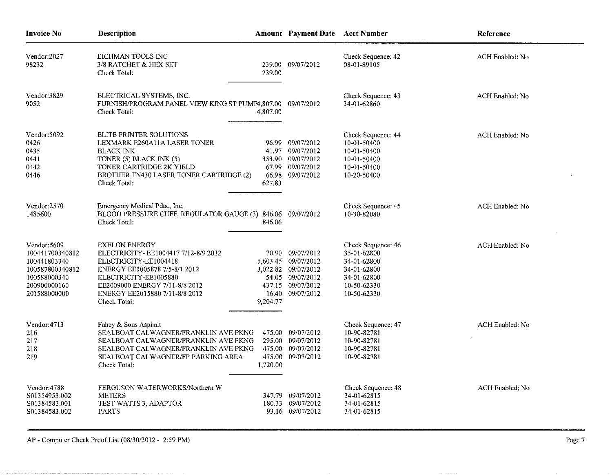| Invoice No                                                                                                         | Description                                                                                                                                                                                                                        |                    | Amount Payment Date Acct Number                                                                                             |                                                                                                              | Reference       |
|--------------------------------------------------------------------------------------------------------------------|------------------------------------------------------------------------------------------------------------------------------------------------------------------------------------------------------------------------------------|--------------------|-----------------------------------------------------------------------------------------------------------------------------|--------------------------------------------------------------------------------------------------------------|-----------------|
| Vendor:2027<br>98232                                                                                               | EICHMAN TOOLS INC<br>3/8 RATCHET & HEX SET<br>Check Total:                                                                                                                                                                         | 239.00             | 239.00 09/07/2012                                                                                                           | Check Sequence: 42<br>08-01-89105                                                                            | ACH Enabled: No |
| Vendor:3829<br>9052                                                                                                | ELECTRICAL SYSTEMS, INC.<br>FURNISH/PROGRAM PANEL VIEW KING ST PUMP4,807.00 09/07/2012<br>Check Total:                                                                                                                             | 4,807.00           |                                                                                                                             | Check Sequence: 43<br>34-01-62860                                                                            | ACH Enabled: No |
| Vendor: 5092<br>0426<br>0435<br>0441<br>0442<br>0446                                                               | ELITE PRINTER SOLUTIONS<br>LEXMARK E260A11A LASER TONER<br><b>BLACK INK</b><br>TONER (5) BLACK INK (5)<br>TONER CARTRIDGE 2K YIELD<br>BROTHER TN430 LASER TONER CARTRIDGE (2)<br>Check Total:                                      | 627.83             | 96.99 09/07/2012<br>41.97 09/07/2012<br>353.90 09/07/2012<br>67.99 09/07/2012<br>66.98 09/07/2012                           | Check Sequence: 44<br>10-01-50400<br>10-01-50400<br>10-01-50400<br>10-01-50400<br>10-20-50400                | ACH Enabled: No |
| Vendor:2570<br>1485600                                                                                             | Emergency Medical Pdts., Inc.<br>BLOOD PRESSURE CUFF, REGULATOR GAUGE (3) 846.06 09/07/2012<br>Check Total:                                                                                                                        | 846.06             |                                                                                                                             | Check Sequence: 45<br>10-30-82080                                                                            | ACH Enabled: No |
| Vendor: 5609<br>100441700340812<br>100441803340<br>100587800340812<br>100588000340<br>200900000160<br>201588000000 | <b>EXELON ENERGY</b><br>ELECTRICITY-EE1004417 7/12-8/9 2012<br>ELECTRICITY-EE1004418<br>ENERGY EE1005878 7/5-8/1 2012<br>ELECTRICITY-EE1005880<br>EE2009000 ENERGY 7/11-8/8 2012<br>ENERGY EE2015880 7/11-8/8 2012<br>Check Total: | 9,204.77           | 70.90 09/07/2012<br>5,603 45 09/07/2012<br>3,022.82 09/07/2012<br>54.05 09/07/2012<br>437.15 09/07/2012<br>16.40 09/07/2012 | Check Sequence: 46<br>35-01-62800<br>34-01-62800<br>34-01-62800<br>34-01-62800<br>10-50-62330<br>10-50-62330 | ACH Enabled: No |
| Vendor: 4713<br>216<br>217<br>218<br>219                                                                           | Fahey & Sons Asphalt<br>SEALBOAT CALWAGNER/FRANKLIN AVE PKNG<br>SEALBOAT CALWAGNER/FRANKLIN AVE PKNG<br>SEALBOAT CALWAGNER/FRANKLIN AVE PKNG<br>SEALBOAT CALWAGNER/FP PARKING AREA<br>Check Total:                                 | 475.00<br>1,720.00 | 09/07/2012<br>295.00 09/07/2012<br>475.00 09/07/2012<br>475.00 09/07/2012                                                   | Check Sequence: 47<br>10-90-82781<br>10-90-82781<br>10-90-82781<br>10-90-82781                               | ACH Enabled: No |
| Vendor: 4788<br>S01354953.002<br>S01384583.001<br>S01384583.002                                                    | FERGUSON WATERWORKS/Northern W<br><b>METERS</b><br>TEST WATTS 3, ADAPTOR<br><b>PARTS</b>                                                                                                                                           | 347.79             | 09/07/2012<br>180.33 09/07/2012<br>93.16 09/07/2012                                                                         | Check Sequence: 48<br>34-01-62815<br>34-01-62815<br>34-01-62815                                              | ACH Enabled: No |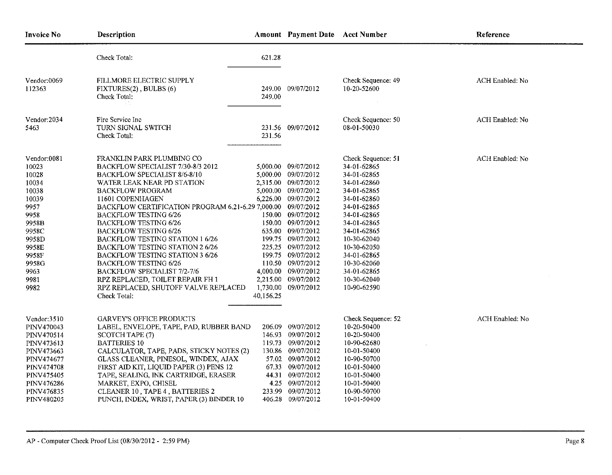| <b>Invoice No</b>                                                                                                                                              | <b>Description</b>                                                                                                                                                                                                                                                                                                                                                                                                                                                                                                                                                                                                            |           | Amount Payment Date Acct Number                                                                                                                                                                                                                                                                                                         |                                                                                                                                                                                                                                                                    | Reference       |
|----------------------------------------------------------------------------------------------------------------------------------------------------------------|-------------------------------------------------------------------------------------------------------------------------------------------------------------------------------------------------------------------------------------------------------------------------------------------------------------------------------------------------------------------------------------------------------------------------------------------------------------------------------------------------------------------------------------------------------------------------------------------------------------------------------|-----------|-----------------------------------------------------------------------------------------------------------------------------------------------------------------------------------------------------------------------------------------------------------------------------------------------------------------------------------------|--------------------------------------------------------------------------------------------------------------------------------------------------------------------------------------------------------------------------------------------------------------------|-----------------|
|                                                                                                                                                                | Check Total:                                                                                                                                                                                                                                                                                                                                                                                                                                                                                                                                                                                                                  | 621.28    |                                                                                                                                                                                                                                                                                                                                         |                                                                                                                                                                                                                                                                    |                 |
| Vendor:0069<br>112363                                                                                                                                          | FILLMORE ELECTRIC SUPPLY<br>FIXTURES(2), BULBS (6)<br>Check Total:                                                                                                                                                                                                                                                                                                                                                                                                                                                                                                                                                            | 249.00    | 249.00 09/07/2012                                                                                                                                                                                                                                                                                                                       | Check Sequence: 49<br>10-20-52600                                                                                                                                                                                                                                  | ACH Enabled: No |
| Vendor: 2034<br>5463                                                                                                                                           | Fire Service Inc.<br>TURN SIGNAL SWITCH<br>Check Total:                                                                                                                                                                                                                                                                                                                                                                                                                                                                                                                                                                       | 231.56    | 231.56 09/07/2012                                                                                                                                                                                                                                                                                                                       | Check Sequence: 50<br>08-01-50030                                                                                                                                                                                                                                  | ACH Enabled: No |
| Vendor:0081<br>10023<br>10028<br>10034<br>10038<br>10039<br>9957<br>9958<br>9958B<br>9958C<br>9958D<br>9958E<br>9958F<br>9958G<br>9963.<br>9981<br>9982        | FRANKLIN PARK PLUMBING CO<br>BACKFLOW SPECIALIST 7/30-8/3 2012<br>BACKFLOW SPECIALIST 8/6-8/10<br>WATER LEAK NEAR PD STATION<br><b>BACKFLOW PROGRAM</b><br>11601 COPENHAGEN<br>BACKFLOW CERTIFICATION PROGRAM 6.21-6.29 7,000.00 09/07/2012<br><b>BACKFLOW TESTING 6/26</b><br><b>BACKFLOW TESTING 6/26</b><br><b>BACKFLOW TESTING 6/26</b><br>BACKFLOW TESTING STATION 1 6/26<br>BACKFLOW TESTING STATION 2 6/26<br><b>BACKFLOW TESTING STATION 3 6/26</b><br><b>BACKFLOW TESTING 6/26</b><br><b>BACKFLOW SPECIALIST 7/2-7/6</b><br>RPZ REPLACED, TOILET REPAIR FH 1<br>RPZ REPLACED, SHUTOFF VALVE REPLACED<br>Check Total: | 40,156.25 | 5,000.00 09/07/2012<br>5,000.00 09/07/2012<br>2,315.00 09/07/2012<br>5,000.00 09/07/2012<br>6,226.00 09/07/2012<br>150.00 09/07/2012<br>150.00 09/07/2012<br>635.00 09/07/2012<br>199.75 09/07/2012<br>225.25 09/07/2012<br>199.75 09/07/2012<br>110.50 09/07/2012<br>4,000.00 09/07/2012<br>2,215.00 09/07/2012<br>1,730,00 09/07/2012 | Check Sequence: 51<br>34-01-62865<br>34-01-62865<br>34-01-62860<br>34-01-62865<br>34-01-62860<br>34-01-62865<br>34-01-62865<br>34-01-62865<br>34-01-62865<br>10-30-62040<br>10-30-62050<br>34-01-62865<br>10-30-62060<br>34-01-62865<br>10-30-62040<br>10-90-62590 | ACH Enabled: No |
| Vendor:3510<br>PINV470043<br>PINV470514<br>PINV473613<br>PINV473663<br>PINV474677<br><b>PINV474708</b><br>PINV475405<br>PINV476286<br>PINV476835<br>PINV480205 | <b>GARVEY'S OFFICE PRODUCTS</b><br>LABEL, ENVELOPE, TAPE, PAD, RUBBER BAND<br>SCOTCH TAPE (7)<br><b>BATTERIES 10</b><br>CALCULATOR, TAPE, PADS, STICKY NOTES (2)<br>GLASS CLEANER, PINESOL, WINDEX, AJAX<br>FIRST AID KIT, LIQUID PAPER (3) PENS 12<br>TAPE, SEALING, INK CARTRIDGE, ERASER<br>MARKET, EXPO, CHISEL<br>CLEANER 10, TAPE 4, BATTERIES 2<br>PUNCH, INDEX, WRIST, PAPER (3) BINDER 10                                                                                                                                                                                                                            |           | 206.09 09/07/2012<br>146.93 09/07/2012<br>119.73 09/07/2012<br>130.86 09/07/2012<br>57.02 09/07/2012<br>67.33 09/07/2012<br>44.31 09/07/2012<br>4.25 09/07/2012<br>233.99 09/07/2012<br>406.28 09/07/2012                                                                                                                               | Check Sequence: 52<br>10-20-50400<br>10-20-50400<br>10-90-62680<br>10-01-50400<br>10-90-50700<br>10-01-50400<br>10-01-50400<br>10-01-50400<br>10-90-50700<br>10-01-50400                                                                                           | ACH Enabled: No |

 $\sim$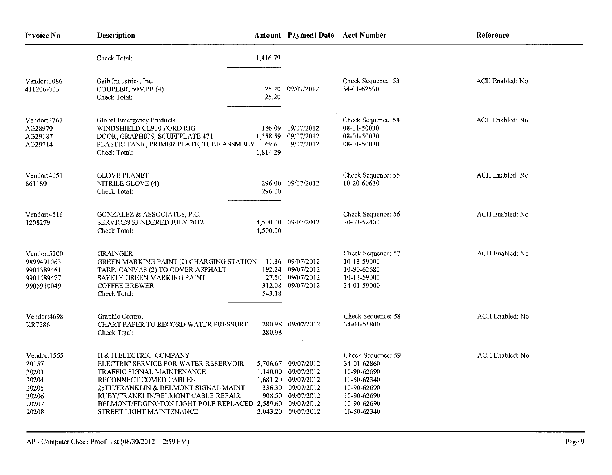| <b>Invoice No</b>                                                           | Description                                                                                                                                                                                                                                                                                          | Amount Payment Date Acct Number                                                                                                    |                                                                                                                             | Reference       |
|-----------------------------------------------------------------------------|------------------------------------------------------------------------------------------------------------------------------------------------------------------------------------------------------------------------------------------------------------------------------------------------------|------------------------------------------------------------------------------------------------------------------------------------|-----------------------------------------------------------------------------------------------------------------------------|-----------------|
|                                                                             | Check Total:<br>1,416.79                                                                                                                                                                                                                                                                             |                                                                                                                                    |                                                                                                                             |                 |
| Vendor:0086<br>411206-003                                                   | Geib Industries, Inc.<br>COUPLER, 50MPB (4)<br>Check Total:<br>25.20                                                                                                                                                                                                                                 | 25.20 09/07/2012                                                                                                                   | Check Sequence: 53<br>34-01-62590                                                                                           | ACH Enabled: No |
| Vendor:3767<br>AG28970<br>AG29187<br>AG29714                                | Global Emergency Products<br>WINDSHIELD CL900 FORD RIG<br>186.09<br>DOOR, GRAPHICS, SCUFFPLATE 471<br>1,558.59<br>69.61<br>PLASTIC TANK, PRIMER PLATE, TUBE ASSMBLY<br>1,814.29<br>Check Total:                                                                                                      | 09/07/2012<br>09/07/2012<br>09/07/2012                                                                                             | Check Sequence: 54<br>08-01-50030<br>08-01-50030<br>08-01-50030                                                             | ACH Enabled: No |
| Vendor:4051<br>861180                                                       | <b>GLOVE PLANET</b><br>NITRILE GLOVE (4)<br>296.00<br>Check Total:                                                                                                                                                                                                                                   | 296.00 09/07/2012                                                                                                                  | Check Sequence: 55<br>10-20-60630                                                                                           | ACH Enabled: No |
| Vendor: $4516$<br>1208279                                                   | GONZALEZ & ASSOCIATES, P.C.<br><b>SERVICES RENDERED JULY 2012</b><br>4,500.00<br>Check Total.                                                                                                                                                                                                        | 4,500.00 09/07/2012                                                                                                                | Check Sequence: 56<br>10-33-52400                                                                                           | ACH Enabled: No |
| Vendor: 5200<br>9899491063<br>9901389461<br>9901489477<br>9905910049        | <b>GRAINGER</b><br>GREEN MARKING PAINT (2) CHARGING STATION<br>TARP, CANVAS (2) TO COVER ASPHALT<br>SAFETY GREEN MARKING PAINT<br><b>COFFEE BREWER</b><br>543.18<br>Check Total:                                                                                                                     | 11.36 09/07/2012<br>192.24 09/07/2012<br>27.50 09/07/2012<br>312.08 09/07/2012                                                     | Check Sequence: 57<br>10-13-59000<br>10-90-62680<br>10-13-59000<br>34-01-59000                                              | ACH Enabled: No |
| Vendor:4698<br><b>KR7586</b>                                                | Graphic Control<br><b>CHART PAPER TO RECORD WATER PRESSURE</b><br>280.98<br>Check Total:                                                                                                                                                                                                             | 280.98 09/07/2012                                                                                                                  | Check Sequence: 58<br>34-01-51800                                                                                           | ACH Enabled: No |
| Vendor: 1555<br>20157<br>20203<br>20204<br>20205<br>20206<br>20207<br>20208 | H & H ELECTRIC COMPANY<br>ELECTRIC SERVICE FOR WATER RESERVOIR<br>TRAFFIC SIGNAL MAINTENANCE<br>RECONNECT COMED CABLES<br>25TH/FRANKLIN & BELMONT SIGNAL MAINT<br>RUBY/FRANKLIN/BELMONT CABLE REPAIR<br>BELMONT/EDGINGTON LIGHT POLE REPLACED 2,589.60 09/07/2012<br><b>STREET LIGHT MAINTENANCE</b> | 5,706.67 09/07/2012<br>1,140.00 09/07/2012<br>1,681.20 09/07/2012<br>336.30 09/07/2012<br>908.50 09/07/2012<br>2,043.20 09/07/2012 | Check Sequence: 59<br>34-01-62860<br>10-90-62690<br>10-50-62340<br>10-90-62690<br>10-90-62690<br>10-90-62690<br>10-50-62340 | ACH Enabled: No |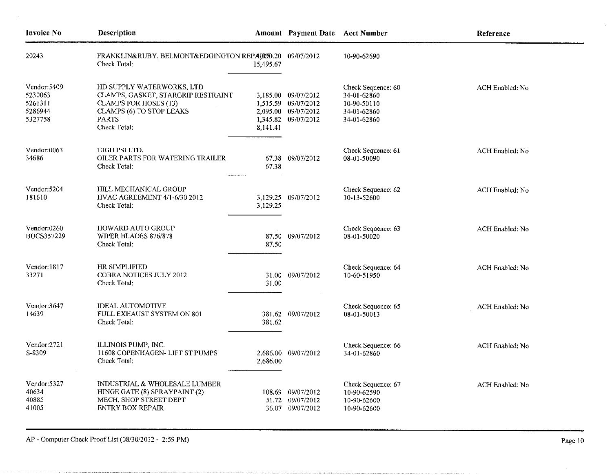| <b>Invoice No</b>                                        | Description                                                                                                                                                 |           | Amount Payment Date Acct Number                                                          |                                                                                | Reference       |
|----------------------------------------------------------|-------------------------------------------------------------------------------------------------------------------------------------------------------------|-----------|------------------------------------------------------------------------------------------|--------------------------------------------------------------------------------|-----------------|
| 20243                                                    | FRANKLIN&RUBY, BELMONT&EDGINGTON REPAIR90.20<br>Check Total:                                                                                                | 15,495.67 | 09/07/2012                                                                               | 10-90-62690                                                                    |                 |
| Vendor: 5409<br>5230063<br>5261311<br>5286944<br>5327758 | HD SUPPLY WATERWORKS, LTD<br>CLAMPS, GASKET, STARGRIP RESTRAINT<br><b>CLAMPS FOR HOSES (13)</b><br>CLAMPS (6) TO STOP LEAKS<br><b>PARTS</b><br>Check Total: | 8,141.41  | 3,185.00 09/07/2012<br>1,515.59 09/07/2012<br>2,095.00 09/07/2012<br>1,345.82 09/07/2012 | Check Sequence: 60<br>34-01-62860<br>10-90-50110<br>34-01-62860<br>34-01-62860 | ACH Enabled: No |
| Vendor:0063<br>34686                                     | HIGH PSI LTD.<br>OILER PARTS FOR WATERING TRAILER<br>Check Total:                                                                                           | 67.38     | 67.38 09/07/2012                                                                         | Check Sequence: 61<br>08-01-50090                                              | ACH Enabled: No |
| Vendor: 5204<br>181610                                   | <b>HILL MECHANICAL GROUP</b><br><b>HVAC AGREEMENT 4/1-6/30 2012</b><br>Check Total:                                                                         | 3,129.25  | 3,129.25 09/07/2012                                                                      | Check Sequence: 62<br>10-13-52600                                              | ACH Enabled: No |
| Vendor:0260<br><b>BUCS357229</b>                         | HOWARD AUTO GROUP<br>WIPER BLADES 876/878<br>Check Total:                                                                                                   | 87.50     | 87.50 09/07/2012                                                                         | Check Sequence: 63<br>08-01-50020                                              | ACH Enabled: No |
| Vendor: 1817<br>33271                                    | HR SIMPLIFIED<br><b>COBRA NOTICES JULY 2012</b><br>Check Total:                                                                                             | 31.00     | 31.00 09/07/2012                                                                         | Check Sequence: 64<br>10-60-51950                                              | ACH Enabled: No |
| Vendor:3647<br>14639                                     | <b>IDEAL AUTOMOTIVE</b><br>FULL EXHAUST SYSTEM ON 801<br>Check Total:                                                                                       | 381.62    | 381.62 09/07/2012                                                                        | Check Sequence: 65<br>08-01-50013                                              | ACH Enabled: No |
| Vendor:2721<br>S-8309                                    | ILLINOIS PUMP, INC.<br>11608 COPENHAGEN- LIFT ST PUMPS<br>Check Total:                                                                                      | 2,686.00  | 2,686.00 09/07/2012                                                                      | Check Sequence: 66<br>34-01-62860                                              | ACH Enabled; No |
| Vendor: 5327<br>40634<br>40885<br>41005                  | INDUSTRIAL & WHOLESALE LUMBER<br>HINGE GATE (8) SPRAYPAINT (2)<br>MECH, SHOP STREET DEPT<br><b>ENTRY BOX REPAIR</b>                                         |           | 108.69 09/07/2012<br>51.72 09/07/2012<br>36.07 09/07/2012                                | Check Sequence: 67<br>10-90-62590<br>10-90-62600<br>10-90-62600                | ACH Enabled: No |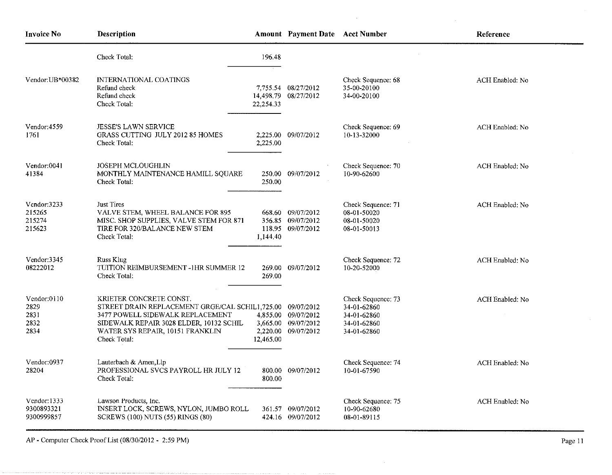| <b>Invoice No</b>                           | <b>Description</b>                                                                                                                                                                                            |                                   | <b>Amount Payment Date Acct Number</b>                        |                                                                                | Reference              |
|---------------------------------------------|---------------------------------------------------------------------------------------------------------------------------------------------------------------------------------------------------------------|-----------------------------------|---------------------------------------------------------------|--------------------------------------------------------------------------------|------------------------|
|                                             | Check Total:                                                                                                                                                                                                  | 196.48                            |                                                               |                                                                                |                        |
| Vendor: UB*00382                            | <b>INTERNATIONAL COATINGS</b><br>Refund check<br>Refund check<br>Check Total:                                                                                                                                 | 22,254.33                         | 7,755.54 08/27/2012<br>14,498.79 08/27/2012                   | Check Sequence: 68<br>35-00-20100<br>34-00-20100                               | ACH Enabled: No        |
| Vendor:4559<br>1761                         | <b>JESSE'S LAWN SERVICE</b><br>GRASS CUTTING JULY 2012 85 HOMES<br>Check Total:                                                                                                                               | 2,225.00                          | 2,225.00 09/07/2012                                           | Check Sequence: 69<br>10-13-32000                                              | <b>ACH Enabled: No</b> |
| Vendor:0041<br>41384                        | <b>JOSEPH MCLOUGHLIN</b><br>MONTHLY MAINTENANCE HAMILL SQUARE<br>Check Total:                                                                                                                                 | 250.00                            | 250.00 09/07/2012                                             | Check Sequence: 70<br>10-90-62600                                              | ACH Enabled: No        |
| Vendor:3233<br>215265<br>215274<br>215623   | Just Tires<br>VALVE STEM, WHEEL BALANCE FOR 895<br>MISC. SHOP SUPPLIES, VALVE STEM FOR 871<br>TIRE FOR 320/BALANCE NEW STEM<br>Check Total:                                                                   | 1,144.40                          | 668.60 09/07/2012<br>356.85 09/07/2012<br>118,95 09/07/2012   | Check Sequence: 71<br>08-01-50020<br>08-01-50020<br>08-01-50013                | ACH Enabled: No        |
| Vendor:3345<br>08222012                     | Russ Klug<br>TUITION REIMBURSEMENT -1HR SUMMER 12<br>Check Total:                                                                                                                                             | 269.00                            | 269.00 09/07/2012                                             | Check Sequence: 72<br>10-20-52000                                              | ACH Enabled: No        |
| Vendor:0110<br>2829<br>2831<br>2832<br>2834 | KRIETER CONCRETE CONST.<br>STREET DRAIN REPLACEMENT GRGE/CAL SCHIL1,725.00<br>3477 POWELL SIDEWALK REPLACEMENT<br>SIDEWALK REPAIR 3028 ELDER, 10132 SCHIL<br>WATER SYS REPAIR, 10151 FRANKLIN<br>Check Total: | 4,855,00<br>3,665.00<br>12,465.00 | 09/07/2012<br>09/07/2012<br>09/07/2012<br>2,220.00 09/07/2012 | Check Sequence: 73<br>34-01-62860<br>34-01-62860<br>34-01-62860<br>34-01-62860 | <b>ACH Enabled: No</b> |
| Vendor:0937<br>28204                        | Lauterbach & Amen, Llp<br>PROFESSIONAL SVCS PAYROLL HR JULY 12<br>Check Total:                                                                                                                                | 800.00                            | 800.00 09/07/2012                                             | Check Sequence: 74<br>10-01-67590                                              | ACH Enabled: No        |
| Vendor: 1333<br>9300893321<br>9300999857    | Lawson Products, Inc.<br>INSERT LOCK, SCREWS, NYLON, JUMBO ROLL<br>SCREWS (100) NUTS (55) RINGS (80)                                                                                                          |                                   | 361.57 09/07/2012<br>424.16 09/07/2012                        | Check Sequence: 75<br>10-90-62680<br>08-01-89115                               | ACH Enabled: No        |

 $\mathcal{L}_{\mathrm{c}}$ 

 $\sim$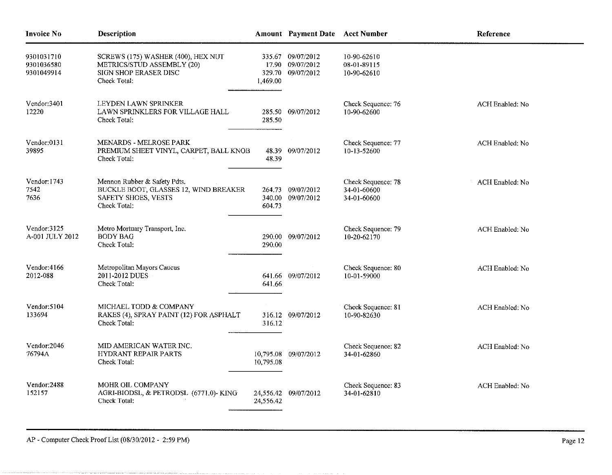| <b>Invoice No</b>                      | Description                                                                                                  |                              | <b>Amount</b> Payment Date                   | <b>Acct Number</b>                               | Reference       |
|----------------------------------------|--------------------------------------------------------------------------------------------------------------|------------------------------|----------------------------------------------|--------------------------------------------------|-----------------|
| 9301031710<br>9301036580<br>9301049914 | SCREWS (175) WASHER (400), HEX NUT<br>METRICS/STUD ASSEMBLY (20)<br>SIGN SHOP ERASER DISC<br>Check Total:    | 335.67<br>329.70<br>1,469.00 | 09/07/2012<br>17.90 09/07/2012<br>09/07/2012 | 10-90-62610<br>08-01-89115<br>10-90-62610        |                 |
| Vendor 3401<br>12220                   | LEYDEN LAWN SPRINKER<br>LAWN SPRINKLERS FOR VILLAGE HALL<br>Check Total:                                     | 285.50                       | 285.50 09/07/2012                            | Check Sequence: 76<br>10-90-62600                | ACH Enabled: No |
| Vendor:0131<br>39895                   | <b>MENARDS - MELROSE PARK</b><br>PREMIUM SHEET VINYL, CARPET, BALL KNOB<br>Check Total:                      |                              | 48.39 09/07/2012                             | Check Sequence: 77<br>10-13-52600                | ACH Enabled: No |
| Vendor: 1743<br>7542<br>7636           | Mennon Rubber & Safety Pdts.<br>BUCKLE BOOT, GLASSES 12, WIND BREAKER<br>SAFETY SHOES, VESTS<br>Check Total: | 264.73<br>604.73             | 09/07/2012<br>340.00 09/07/2012              | Check Sequence: 78<br>34-01-60600<br>34-01-60600 | ACH Enabled: No |
| Vendor: 3125<br>A-001 JULY 2012        | Metro Mortuary Transport, Inc.<br><b>BODY BAG</b><br>Check Total:                                            | 290.00                       | 290.00 09/07/2012                            | Check Sequence: 79<br>10-20-62170                | ACH Enabled: No |
| Vendor: 4166<br>2012-088               | Metropolitan Mayors Caucus<br>2011-2012 DUES<br>Check Total:                                                 | 641.66                       | 641.66 09/07/2012                            | Check Sequence: 80<br>10-01-59000                | ACH Enabled: No |
| Vendor: 5104<br>133694                 | MICHAEL TODD & COMPANY<br>RAKES (4), SPRAY PAINT (12) FOR ASPHALT<br>Check Total:                            | 316.12                       | 316.12 09/07/2012                            | Check Sequence: 81<br>10-90-82630                | ACH Enabled: No |
| Vendor: 2046<br>76794A                 | MID AMERICAN WATER INC.<br><b>HYDRANT REPAIR PARTS</b><br>Check Total:                                       | 10,795.08                    | 10,795.08 09/07/2012                         | Check Sequence: 82<br>34-01-62860                | ACH Enabled: No |
| Vendor: 2488<br>152157                 | <b>MOHR OIL COMPANY</b><br>AGRI-BIODSL, & PETRODSL (6771.0)- KING<br>Check Total:                            | 24,556.42                    | 24,556.42 09/07/2012                         | Check Sequence: 83<br>34-01-62810                | ACH Enabled: No |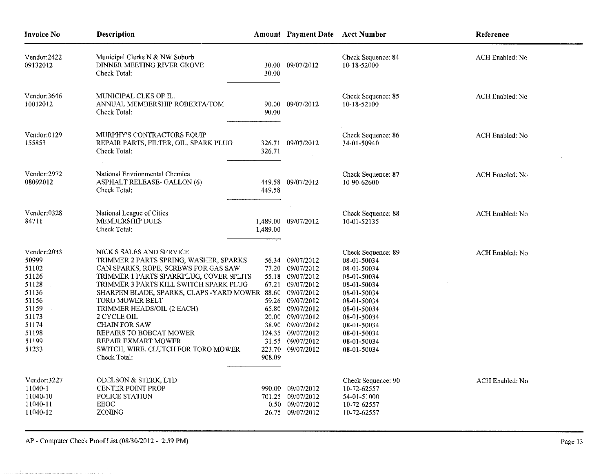| <b>Invoice No</b>                                                                                                       | <b>Description</b>                                                                                                                                                                                                                                                                                                                                                                                                                                                    |          | Amount Payment Date Acct Number                                                                                                                                                                                            |                                                                                                                                                                                                        | Reference       |
|-------------------------------------------------------------------------------------------------------------------------|-----------------------------------------------------------------------------------------------------------------------------------------------------------------------------------------------------------------------------------------------------------------------------------------------------------------------------------------------------------------------------------------------------------------------------------------------------------------------|----------|----------------------------------------------------------------------------------------------------------------------------------------------------------------------------------------------------------------------------|--------------------------------------------------------------------------------------------------------------------------------------------------------------------------------------------------------|-----------------|
| Vendor:2422<br>09132012                                                                                                 | Municipal Clerks N & NW Suburb<br>DINNER MEETING RIVER GROVE<br>Check Total:                                                                                                                                                                                                                                                                                                                                                                                          | 30.00    | 30.00 09/07/2012                                                                                                                                                                                                           | Check Sequence: 84<br>10-18-52000                                                                                                                                                                      | ACH Enabled: No |
| Vendor:3646<br>10012012                                                                                                 | MUNICIPAL CLKS OF IL.<br>ANNUAL MEMBERSHIP ROBERTA/TOM<br>Check Total:                                                                                                                                                                                                                                                                                                                                                                                                | 90.00    | 90.00 09/07/2012                                                                                                                                                                                                           | Check Sequence: 85<br>10-18-52100                                                                                                                                                                      | ACH Enabled: No |
| $V$ endor: $0129$<br>155853                                                                                             | MURPHY'S CONTRACTORS EQUIP<br>REPAIR PARTS, FILTER, OIL, SPARK PLUG<br>Check Total:                                                                                                                                                                                                                                                                                                                                                                                   | 326.71   | 326.71 09/07/2012                                                                                                                                                                                                          | Check Sequence: 86<br>34-01-50940                                                                                                                                                                      | ACH Enabled: No |
| Vendor:2972<br>08092012                                                                                                 | National Envrionmental Chemica<br>ASPHALT RELEASE-GALLON (6)<br>Check Total:                                                                                                                                                                                                                                                                                                                                                                                          | 449.58   | 449.58 09/07/2012                                                                                                                                                                                                          | Check Sequence: 87<br>10-90-62600                                                                                                                                                                      | ACH Enabled: No |
| Vendor:0328<br>84711                                                                                                    | National League of Cities<br>MEMBERSHIP DUES<br>Check Total:                                                                                                                                                                                                                                                                                                                                                                                                          | 1,489.00 | 1,489.00 09/07/2012                                                                                                                                                                                                        | Check Sequence: 88<br>10-01-52135                                                                                                                                                                      | ACH Enabled: No |
| Vendor:2033<br>50999<br>51102<br>51126<br>51128<br>51136<br>51156<br>51159<br>51173<br>51174<br>51198<br>51199<br>51233 | NICK'S SALES AND SERVICE<br>TRIMMER 2 PARTS SPRING, WASHER, SPARKS<br>CAN SPARKS, ROPE, SCREWS FOR GAS SAW<br>TRIMMER 1 PARTS SPARKPLUG, COVER SPLITS<br>TRIMMER 3 PARTS KILL SWITCH SPARK PLUG<br>SHARPEN BLADE, SPARKS, CLAPS - YARD MOWER 88.60 09/07/2012<br>TORO MOWER BELT<br>TRIMMER HEADS/OIL (2 EACH)<br>2 CYCLE OIL<br><b>CHAIN FOR SAW</b><br>REPAIRS TO BOBCAT MOWER<br><b>REPAIR EXMART MOWER</b><br>SWITCH, WIRE, CLUTCH FOR TORO MOWER<br>Check Total: | 908,09   | 56.34 09/07/2012<br>77.20 09/07/2012<br>55.18 09/07/2012<br>67.21 09/07/2012<br>59.26 09/07/2012<br>65.80 09/07/2012<br>20.00 09/07/2012<br>38.90 09/07/2012<br>124.35 09/07/2012<br>31.55 09/07/2012<br>223.70 09/07/2012 | Check Sequence: 89<br>08-01-50034<br>08-01-50034<br>08-01-50034<br>08-01-50034<br>08-01-50034<br>08-01-50034<br>08-01-50034<br>08-01-50034<br>08-01-50034<br>08-01-50034<br>08-01-50034<br>08-01-50034 | ACH Enabled: No |
| Vendor:3227<br>11040-1<br>11040-10<br>11040-11<br>11040-12                                                              | ODELSON & STERK, LTD<br><b>CENTER POINT PROP</b><br>POLICE STATION<br>EEOC<br>ZONING                                                                                                                                                                                                                                                                                                                                                                                  |          | 990.00 09/07/2012<br>701.25 09/07/2012<br>0.50 09/07/2012<br>26.75 09/07/2012                                                                                                                                              | Check Sequence: 90<br>10-72-62557<br>54-01-51000<br>10-72-62557<br>10-72-62557                                                                                                                         | ACH Enabled: No |

 $\mathbf{r}$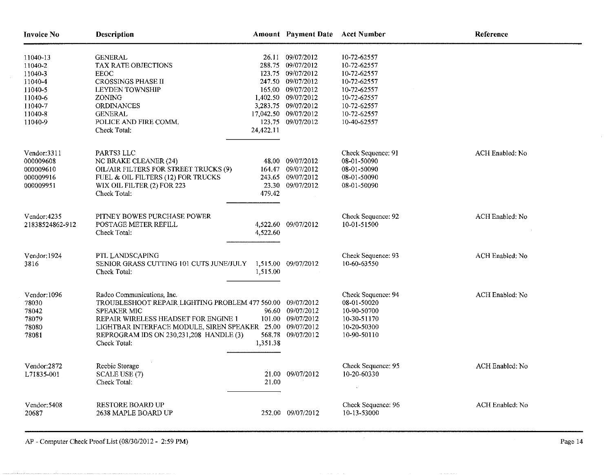| <b>Invoice No</b>                                                                                | Description                                                                                                                                                                                                                                                         |                    | Amount Payment Date Acct Number                                                                                                                                                                 |                                                                                                                                     | Reference       |
|--------------------------------------------------------------------------------------------------|---------------------------------------------------------------------------------------------------------------------------------------------------------------------------------------------------------------------------------------------------------------------|--------------------|-------------------------------------------------------------------------------------------------------------------------------------------------------------------------------------------------|-------------------------------------------------------------------------------------------------------------------------------------|-----------------|
| 11040-13<br>11040-2<br>11040-3<br>11040-4<br>11040-5<br>11040-6<br>11040-7<br>11040-8<br>11040-9 | <b>GENERAL</b><br>TAX RATE OBJECTIONS<br><b>EEOC</b><br><b>CROSSINGS PHASE II</b><br><b>LEYDEN TOWNSHIP</b><br>ZONING<br>ORDINANCES<br><b>GENERAL</b><br>POLICE AND FIRE COMM.<br>Check Total:                                                                      | 24,422.11          | 26.11 09/07/2012<br>288.75 09/07/2012<br>123.75 09/07/2012<br>247.50 09/07/2012<br>165.00 09/07/2012<br>1,402.50 09/07/2012<br>3,283.75 09/07/2012<br>17,042.50 09/07/2012<br>123.75 09/07/2012 | 10-72-62557<br>10-72-62557<br>10-72-62557<br>10-72-62557<br>10-72-62557<br>10-72-62557<br>10-72-62557<br>10-72-62557<br>10-40-62557 |                 |
| Vendor:3311<br>000009608<br>000009610<br>000009916<br>000009951                                  | PARTS3 LLC<br>NC BRAKE CLEANER (24)<br>OIL/AIR FILTERS FOR STREET TRUCKS (9)<br>FUEL & OIL FILTERS (12) FOR TRUCKS<br>WIX OIL FILTER (2) FOR 223<br>Check Total:                                                                                                    | 479.42             | 48.00 09/07/2012<br>164.47 09/07/2012<br>243.65 09/07/2012<br>23.30 09/07/2012                                                                                                                  | Check Sequence: 91<br>08-01-50090<br>08-01-50090<br>08-01-50090<br>08-01-50090                                                      | ACH Enabled: No |
| Vendor: 4235<br>21838524862-912                                                                  | PITNEY BOWES PURCHASE POWER<br>POSTAGE METER REFILL<br>Check Total:                                                                                                                                                                                                 | 4,522.60           | 4,522.60 09/07/2012                                                                                                                                                                             | Check Sequence: 92<br>10-01-51500                                                                                                   | ACH Enabled: No |
| Vendor: 1924<br>3816                                                                             | PTL LANDSCAPING<br>SENIOR GRASS CUTTING 101 CUTS JUNE/JULY 1,515.00 09/07/2012<br>Check Total:                                                                                                                                                                      | 1,515.00           |                                                                                                                                                                                                 | Check Sequence: 93<br>10-60-63550                                                                                                   | ACH Enabled: No |
| Vendor: 1096<br>78030<br>78042<br>78079<br>78080<br>78081                                        | Radco Communications, Inc.<br>TROUBLESHOOT REPAIR LIGHTING PROBLEM 477 560.00 09/07/2012<br><b>SPEAKER MIC</b><br>REPAIR WIRELESS HEADSET FOR ENGINE 1<br>LIGHTBAR INTERFACE MODULE, SIREN SPEAKER 25.00<br>REPROGRAM IDS ON 230,231,208 HANDLE (3)<br>Check Total: | 568.78<br>1,351.38 | 96.60 09/07/2012<br>101.00 09/07/2012<br>09/07/2012<br>09/07/2012                                                                                                                               | Check Sequence: 94<br>08-01-50020<br>10-90-50700<br>10-30-51170<br>10-20-50300<br>10-90-50110                                       | ACH Enabled: No |
| Vendor:2872<br>L71835-001                                                                        | Reebie Storage<br><b>SCALE USE (7)</b><br>Check Total:                                                                                                                                                                                                              | 21,00              | 21.00 09/07/2012                                                                                                                                                                                | Check Sequence: 95<br>10-20-60330                                                                                                   | ACH Enabled: No |
| Vendor: 5408<br>20687                                                                            | <b>RESTORE BOARD UP</b><br>2638 MAPLE BOARD UP                                                                                                                                                                                                                      |                    | 252.00 09/07/2012                                                                                                                                                                               | Check Sequence: 96<br>10-13-53000                                                                                                   | ACH Enabled: No |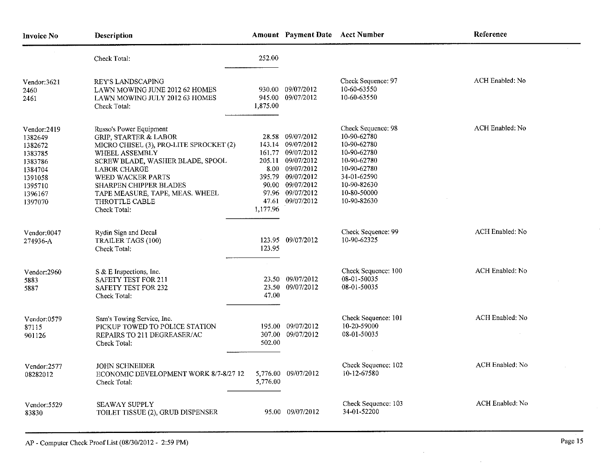| <b>Invoice No</b>                                                                                              | Description                                                                                                                                                                                                                                                                                                    |                                      |                                                                                                                                                                  | Amount Payment Date Acct Number                                                                                                                           | Reference              |  |
|----------------------------------------------------------------------------------------------------------------|----------------------------------------------------------------------------------------------------------------------------------------------------------------------------------------------------------------------------------------------------------------------------------------------------------------|--------------------------------------|------------------------------------------------------------------------------------------------------------------------------------------------------------------|-----------------------------------------------------------------------------------------------------------------------------------------------------------|------------------------|--|
|                                                                                                                | Check Total:                                                                                                                                                                                                                                                                                                   | 252.00                               |                                                                                                                                                                  |                                                                                                                                                           |                        |  |
| Vendor:3621<br>2460<br>2461                                                                                    | <b>REY'S LANDSCAPING</b><br>LAWN MOWING JUNE 2012 62 HOMES<br>LAWN MOWING JULY 2012 63 HOMES<br>Check Total:                                                                                                                                                                                                   | 1,875.00                             | 930.00 09/07/2012<br>945.00 09/07/2012                                                                                                                           | Check Sequence: 97<br>10-60-63550<br>10-60-63550                                                                                                          | ACH Enabled: No        |  |
| Vendor:2419<br>1382649<br>1382672<br>1383785<br>1383786<br>1384704<br>1391058<br>1395710<br>1396167<br>1397070 | Russo's Power Equipment<br><b>GRIP, STARTER &amp; LABOR</b><br>MICRO CHISEL (3), PRO-LITE SPROCKET (2)<br>WHEEL ASSEMBLY<br>SCREW BLADE, WASHER BLADE, SPOOL<br><b>LABOR CHARGE</b><br>WEED WACKER PARTS<br><b>SHARPEN CHIPPER BLADES</b><br>TAPE MEASURE, TAPE, MEAS. WHEEL<br>THROTTLE CABLE<br>Check Total: | 395.79<br>90.00<br>47.61<br>1,177.96 | 28.58 09/07/2012<br>143.14 09/07/2012<br>161.77 09/07/2012<br>205.11 09/07/2012<br>8.00 09/07/2012<br>09/07/2012<br>09/07/2012<br>97.96 09/07/2012<br>09/07/2012 | Check Sequence: 98<br>10-90-62780<br>10-90-62780<br>10-90-62780<br>10-90-62780<br>10-90-62780<br>34-01-62590<br>10-90-82630<br>10-80-50000<br>10-90-82630 | ACH Enabled: No        |  |
| Vendor:0047<br>274936-A                                                                                        | Rydin Sign and Decal<br><b>TRAILER TAGS (100)</b><br>Check Total:                                                                                                                                                                                                                                              | 123.95                               | 123.95 09/07/2012                                                                                                                                                | Check Sequence: 99<br>10-90-62325                                                                                                                         | ACH Enabled: No        |  |
| Vendor:2960<br>5883<br>5887                                                                                    | S & E Inspections, Inc.<br><b>SAFETY TEST FOR 211</b><br><b>SAFETY TEST FOR 232</b><br>Check Total:                                                                                                                                                                                                            | 47.00                                | 23.50 09/07/2012<br>23.50 09/07/2012                                                                                                                             | Check Sequence: 100<br>08-01-50035<br>08-01-50035                                                                                                         | ACH Enabled: No        |  |
| Vendor:0579<br>87115<br>901126                                                                                 | Sam's Towing Service, Inc.<br>PICKUP TOWED TO POLICE STATION<br>REPAIRS TO 211 DEGREASER/AC<br>Check Total:                                                                                                                                                                                                    | 307.00<br>502.00                     | 195.00 09/07/2012<br>09/07/2012                                                                                                                                  | Check Sequence: 101<br>10-20-59000<br>08-01-50035                                                                                                         | ACH Enabled: No        |  |
| Vendor:2577<br>08282012                                                                                        | <b>JOHN SCHNEIDER</b><br>ECONOMIC DEVELOPMENT WORK 8/7-8/27 12<br>Check Total:                                                                                                                                                                                                                                 | 5,776.00                             | 5,776.00 09/07/2012                                                                                                                                              | Check Sequence: 102<br>10-12-67580                                                                                                                        | <b>ACH Enabled: No</b> |  |
| Vendor:5529<br>83830                                                                                           | <b>SEAWAY SUPPLY</b><br>TOILET TISSUE (2), GRUB DISPENSER                                                                                                                                                                                                                                                      |                                      | 95.00 09/07/2012                                                                                                                                                 | Check Sequence: 103<br>34-01-52200                                                                                                                        | ACH Enabled: No        |  |

 $\sim 10^{-1}$ 

 $\sim$ 

 $\sim 10$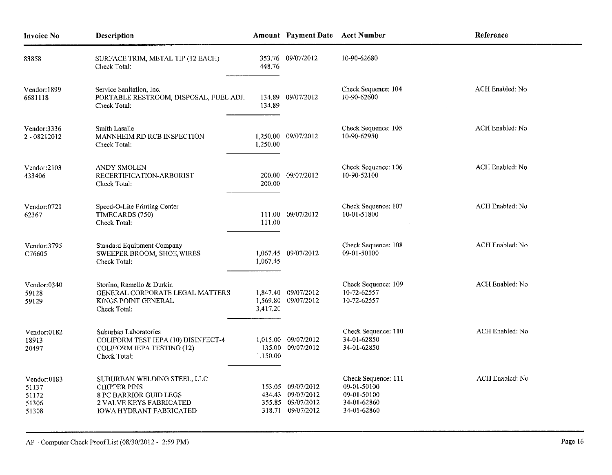| <b>Invoice No</b>                               | Description                                                                                                                                      | <b>Amount</b> Payment Date Acct Number |                                                                                  | Reference                                                                       |                 |  |
|-------------------------------------------------|--------------------------------------------------------------------------------------------------------------------------------------------------|----------------------------------------|----------------------------------------------------------------------------------|---------------------------------------------------------------------------------|-----------------|--|
| 83858                                           | SURFACE TRIM, METAL TIP (12 EACH)<br>Check Total:                                                                                                | 448.76                                 | 353.76 09/07/2012                                                                | 10-90-62680                                                                     |                 |  |
| Vendor: 1899<br>6681118                         | Service Sanitation, Inc.<br>PORTABLE RESTROOM, DISPOSAL, FUEL ADJ.<br>Check Total:                                                               | 134.89                                 | 134.89 09/07/2012                                                                | Check Sequence: 104<br>10-90-62600                                              | ACH Enabled: No |  |
| Vendor:3336<br>2 - 08212012                     | Smith Lasalle<br>MANNHEIM RD RCB INSPECTION<br>Check Total:                                                                                      | 1,250.00                               | 1,250.00 09/07/2012                                                              | Check Sequence: 105<br>10-90-62950                                              | ACH Enabled: No |  |
| Vendor; 2103<br>433406                          | ANDY SMOLEN<br>RECERTIFICATION-ARBORIST<br>Check Total:                                                                                          | 200.00                                 | 200.00 09/07/2012                                                                | Check Sequence: 106<br>10-90-52100                                              | ACH Enabled: No |  |
| Vendor:0721<br>62367                            | Speed-O-Lite Printing Center<br>TIMECARDS (750)<br>Check Total:                                                                                  | 111.00                                 | 111.00 09/07/2012                                                                | Check Sequence: 107<br>10-01-51800                                              | ACH Enabled: No |  |
| Vendor:3795<br>C76605                           | <b>Standard Equipment Company</b><br>SWEEPER BROOM, SHOE, WIRES<br>Check Total:                                                                  | 1,067.45                               | 1,067.45 09/07/2012                                                              | Check Sequence: 108<br>09-01-50100                                              | ACH Enabled: No |  |
| Vendor:0340<br>59128<br>59129                   | Storino, Ramello & Durkin<br>GENERAL CORPORATE LEGAL MATTERS<br>KINGS POINT GENERAL<br>Check Total:                                              | 3,417.20                               | 1,847.40 09/07/2012<br>1,569.80 09/07/2012                                       | Check Sequence: 109<br>10-72-62557<br>10-72-62557                               | ACH Enabled: No |  |
| Vendor:0182<br>18913<br>20497                   | Suburban Laboratories<br>COLIFORM TEST IEPA (10) DISINFECT-4<br><b>COLIFORM IEPA TESTING (12)</b><br>Check Total:                                | 1,150.00                               | 1,015.00 09/07/2012<br>135.00 09/07/2012                                         | Check Sequence: 110<br>34-01-62850<br>34-01-62850                               | ACH Enabled: No |  |
| Vendor:0183<br>51137<br>51172<br>51306<br>51308 | SUBURBAN WELDING STEEL, LLC<br><b>CHIPPER PINS</b><br>8 PC BARRIOR GUID LEGS<br><b>2 VALVE KEYS FABRICATED</b><br><b>IOWA HYDRANT FABRICATED</b> |                                        | 153.05 09/07/2012<br>434.43 09/07/2012<br>355.85 09/07/2012<br>318.71 09/07/2012 | Check Sequence: 111<br>09-01-50100<br>09-01-50100<br>34-01-62860<br>34-01-62860 | ACH Enabled: No |  |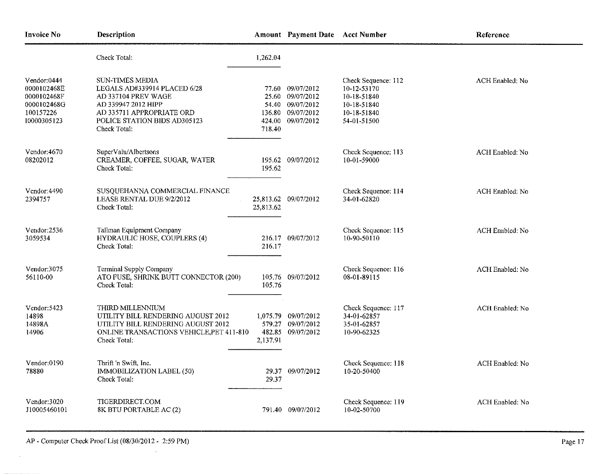| <b>Invoice No</b>                                                                    | Description                                                                                                                                                                |           | Amount Payment Date Acct Number                                                                    |                                                                                                | Reference       |
|--------------------------------------------------------------------------------------|----------------------------------------------------------------------------------------------------------------------------------------------------------------------------|-----------|----------------------------------------------------------------------------------------------------|------------------------------------------------------------------------------------------------|-----------------|
|                                                                                      | Check Total:                                                                                                                                                               | 1,262.04  |                                                                                                    |                                                                                                |                 |
| Vendor:0444<br>0000102468E<br>0000102468F<br>0000102468G<br>100157226<br>10000305123 | SUN-TIMES MEDIA<br>LEGALS AD#339914 PLACED 6/28<br>AD 337104 PREV WAGE<br>AD 339947 2012 HIPP<br>AD 335711 APPROPRIATE ORD<br>POLICE STATION BIDS AD305123<br>Check Total: | 718.40    | 77.60 09/07/2012<br>25.60 09/07/2012<br>54.40 09/07/2012<br>136.80 09/07/2012<br>424.00 09/07/2012 | Check Sequence: 112<br>10-12-53170<br>10-18-51840<br>10-18-51840<br>10-18-51840<br>54-01-51500 | ACH Enabled: No |
| Vendor:4670<br>08202012                                                              | SuperValu/Albertsons<br>CREAMER, COFFEE, SUGAR, WATER<br>Check Total:                                                                                                      | 195.62    | 195.62 09/07/2012                                                                                  | Check Sequence: 113<br>10-01-59000                                                             | ACH Enabled: No |
| Vendor: 4490<br>2394757                                                              | SUSQUEHANNA COMMERCIAL FINANCE<br>LEASE RENTAL DUE 9/2/2012<br>Check Total:                                                                                                | 25,813.62 | 25,813.62 09/07/2012                                                                               | Check Sequence: 114<br>34-01-62820                                                             | ACH Enabled: No |
| Vendor:2536<br>3059534                                                               | Tallman Equipment Company<br>HYDRAULIC HOSE, COUPLERS (4)<br>Check Total:                                                                                                  | 216.17    | 216.17 09/07/2012                                                                                  | Check Sequence: 115<br>10-90-50110                                                             | ACH Enabled: No |
| Vendor:3075<br>56110-00                                                              | Terminal Supply Company<br>ATO FUSE, SHRINK BUTT CONNECTOR (200)<br>Check Total:                                                                                           | 105.76    | 105.76 09/07/2012                                                                                  | Check Sequence: 116<br>08-01-89115                                                             | ACH Enabled: No |
| Vendor: 5423<br>14898<br>14898A<br>14906                                             | THIRD MILLENNIUM<br>UTILITY BILL RENDERING AUGUST 2012<br>UTILITY BILL RENDERING AUGUST 2012<br>ONLINE TRANSACTIONS VEHICLE, PET 411-810<br>Check Total:                   | 2,137.91  | 1,075.79 09/07/2012<br>579.27 09/07/2012<br>482.85 09/07/2012                                      | Check Sequence: 117<br>34-01-62857<br>35-01-62857<br>10-90-62325                               | ACH Enabled: No |
| Vendor:0190<br>78880                                                                 | Thrift 'n Swift, Inc.<br>IMMOBILIZATION LABEL (50)<br>Check Total:                                                                                                         | 29.37     | 29.37 09/07/2012                                                                                   | Check Sequence: 118<br>10-20-50400                                                             | ACH Enabled: No |
| Vendor:3020<br>J10005460101                                                          | TIGERDIRECT.COM<br>8K BTU PORTABLE AC (2)                                                                                                                                  |           | 791.40 09/07/2012                                                                                  | Check Sequence: 119<br>10-02-50700                                                             | ACH Enabled: No |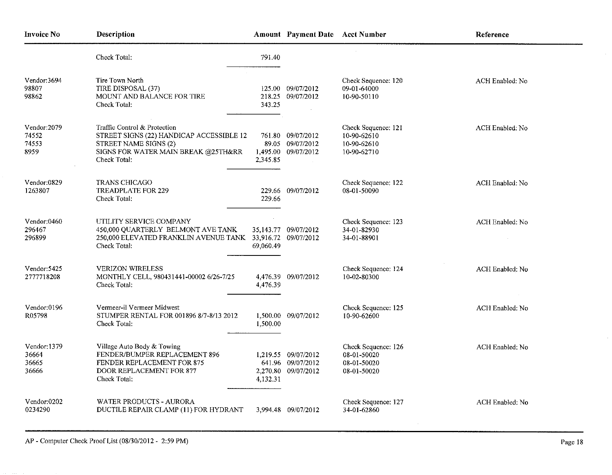| <b>Invoice No</b>                      | Description                                                                                                                                              |                    | Amount Payment Date Acct Number                                 |                                                                  | Reference              |  |
|----------------------------------------|----------------------------------------------------------------------------------------------------------------------------------------------------------|--------------------|-----------------------------------------------------------------|------------------------------------------------------------------|------------------------|--|
|                                        | Check Total:                                                                                                                                             | 791.40             |                                                                 |                                                                  |                        |  |
| Vendor:3694<br>98807<br>98862          | Tire Town North<br>TIRE DISPOSAL (37)<br>MOUNT AND BALANCE FOR TIRE<br>Check Total:                                                                      | 343.25             | 125.00 09/07/2012<br>218.25 09/07/2012                          | Check Sequence: 120<br>09-01-64000<br>10-90-50110                | ACH Enabled: No        |  |
| Vendor: 2079<br>74552<br>74553<br>8959 | Traffic Control & Protection<br>STREET SIGNS (22) HANDICAP ACCESSIBLE 12<br>STREET NAME SIGNS (2)<br>SIGNS FOR WATER MAIN BREAK @25TH&RR<br>Check Total: | 761.80<br>2,345.85 | 09/07/2012<br>89.05 09/07/2012<br>1.495.00 09/07/2012           | Check Sequence: 121<br>10-90-62610<br>10-90-62610<br>10-90-62710 | ACH Enabled: No        |  |
| Vendor:0829<br>1263807                 | <b>TRANS CHICAGO</b><br><b>TREADPLATE FOR 229</b><br>Check Total:                                                                                        | 229.66             | 229.66 09/07/2012                                               | Check Sequence: 122<br>08-01-50090                               | <b>ACH Enabled: No</b> |  |
| Vendor:0460<br>296467<br>296899        | UTILITY SERVICE COMPANY<br>450,000 QUARTERLY BELMONT AVE TANK<br>250,000 ELEVATED FRANKLIN AVENUE TANK 33,916.72 09/07/2012<br>Check Total:              | 69,060.49          | 35,143.77 09/07/2012                                            | Check Sequence: 123<br>34-01-82930<br>34-01-88901                | ACH Enabled; No        |  |
| Vendor: 5425<br>2777718208             | <b>VERIZON WIRELESS</b><br>MONTHLY CELL, 980431441-00002 6/26-7/25<br>Check Total:                                                                       | 4,476.39           | 4,476.39 09/07/2012                                             | Check Sequence: 124<br>10-02-80300                               | ACH Enabled: No        |  |
| Vendor:0196<br>R05798                  | Vermeer-il Vermeer Midwest<br>STUMPER RENTAL FOR 001896 8/7-8/13 2012<br>Check Total:                                                                    | 1,500.00           | 1,500.00 09/07/2012                                             | Check Sequence: 125<br>10-90-62600                               | ACH Enabled: No        |  |
| Vendor:1379<br>36664<br>36665<br>36666 | Village Auto Body & Towing<br>FENDER/BUMPER REPLACEMENT 896<br>FENDER REPLACEMENT FOR 875<br>DOOR REPLACEMENT FOR 877<br>Check Total:                    | 4,132.31           | 1,219.55 09/07/2012<br>641.96 09/07/2012<br>2,270.80 09/07/2012 | Check Sequence: 126<br>08-01-50020<br>08-01-50020<br>08-01-50020 | ACH Enabled; No        |  |
| Vendor:0202<br>0234290                 | WATER PRODUCTS - AURORA<br>DUCTILE REPAIR CLAMP (11) FOR HYDRANT                                                                                         |                    | 3,994.48 09/07/2012                                             | Check Sequence: 127<br>34-01-62860                               | ACH Enabled: No        |  |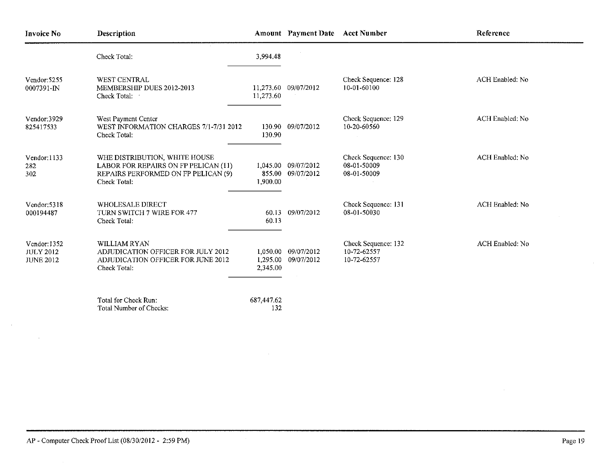| <b>Invoice No</b>                                    | Description                                                                                                                  |                                  | Amount Payment Date Acct Number |                                                   | Reference       |  |
|------------------------------------------------------|------------------------------------------------------------------------------------------------------------------------------|----------------------------------|---------------------------------|---------------------------------------------------|-----------------|--|
|                                                      | Check Total:                                                                                                                 | 3,994.48                         |                                 |                                                   |                 |  |
| Vendor: 5255<br>0007391-IN                           | <b>WEST CENTRAL</b><br>MEMBERSHIP DUES 2012-2013<br>Check Total:                                                             | 11,273.60                        | 11,273.60 09/07/2012            | Check Sequence: 128<br>10-01-60100                | ACH Enabled: No |  |
| Vendor:3929<br>825417533                             | West Payment Center<br>WEST INFORMATION CHARGES 7/1-7/31 2012<br>Check Total:                                                | 130.90                           | 130.90 09/07/2012               | Check Sequence: 129<br>10-20-60560                | ACH Enabled: No |  |
| $V$ endor: 1133<br>282<br>302                        | WHE DISTRIBUTION, WHITE HOUSE<br>LABOR FOR REPAIRS ON FP PELICAN (11)<br>REPAIRS PERFORMED ON FP PELICAN (9)<br>Check Total: | 1.045.00<br>855.00<br>1,900.00   | 09/07/2012<br>09/07/2012        | Check Sequence: 130<br>08-01-50009<br>08-01-50009 | ACH Enabled: No |  |
| Vendor: 5318<br>000194487                            | WHOLESALE DIRECT<br>TURN SWITCH 7 WIRE FOR 477<br>Check Total:                                                               | 60.13                            | 60.13 09/07/2012                | Check Sequence: 131<br>08-01-50030                | ACH Enabled: No |  |
| Vendor: 1352<br><b>JULY 2012</b><br><b>JUNE 2012</b> | WILLIAM RYAN<br>ADJUDICATION OFFICER FOR JULY 2012<br>ADJUDICATION OFFICER FOR JUNE 2012<br>Check Total:                     | 1,050.00<br>1,295.00<br>2,345.00 | 09/07/2012<br>09/07/2012        | Check Sequence: 132<br>10-72-62557<br>10-72-62557 | ACH Enabled: No |  |
|                                                      | Total for Check Run:<br>Total Number of Checks:                                                                              | 687,447.62<br>132                |                                 |                                                   |                 |  |

 $\bar{z}$ 

 $\mathcal{L}^{\text{max}}_{\text{max}}$ 

 $\sim 10^7$ 

 $\mathcal{L}^{\pm}$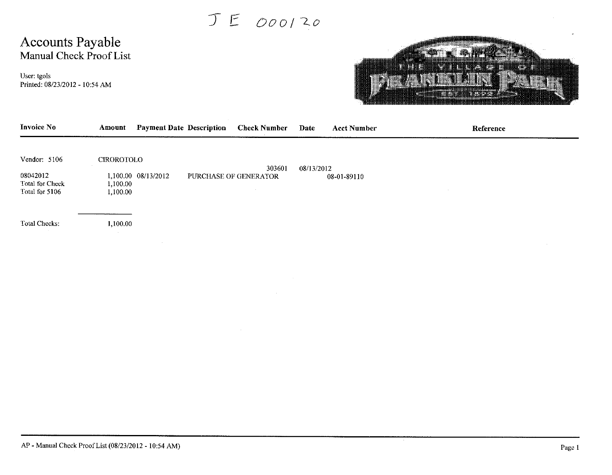$JE_{000120}$ 

## Accounts Payable Manual Check Proof List

User: tgols Printed: 08/23/2012 - 10:54 AM



| Invoice No                                                    | Amount                             | <b>Payment Date Description</b> | <b>Check Number</b>             | Date       | <b>Acct Number</b> | Reference |
|---------------------------------------------------------------|------------------------------------|---------------------------------|---------------------------------|------------|--------------------|-----------|
| Vendor: 5106<br>08042012<br>Total for Check<br>Total for 5106 | CIROROTOLO<br>1,100.00<br>1,100.00 | 1,100.00 08/13/2012             | 303601<br>PURCHASE OF GENERATOR | 08/13/2012 | 08-01-89110        |           |
| Total Checks:                                                 | 1,100.00<br>$\sim$                 |                                 |                                 |            |                    |           |
|                                                               |                                    |                                 |                                 |            |                    |           |
|                                                               |                                    |                                 |                                 |            |                    |           |
|                                                               |                                    |                                 |                                 |            |                    |           |
|                                                               |                                    |                                 |                                 |            |                    |           |
|                                                               |                                    |                                 |                                 |            |                    |           |
|                                                               |                                    |                                 |                                 |            |                    |           |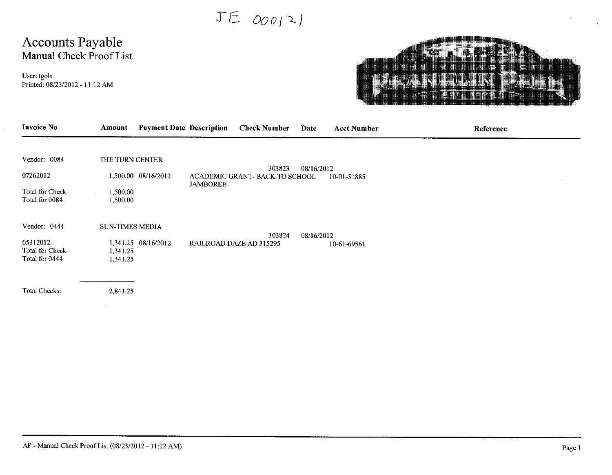JE 000121

# Accounts Payable<br>Manual Check Proof List

User: tgols Printed: 08/23/2012 - 11:12 AM



| <b>Invoice No</b>                                    | Amount                                      | <b>Payment Date Description</b><br><b>Check Number</b> | Date                 | <b>Acct Number</b> | Reference |
|------------------------------------------------------|---------------------------------------------|--------------------------------------------------------|----------------------|--------------------|-----------|
| Vendor: 0084                                         | THE TURN CENTER                             |                                                        |                      |                    |           |
| 07262012                                             | 1,500.00 08/16/2012                         | ACADEMIC GRANT- BACK TO SCHOOL<br><b>JAMBOREE</b>      | 303823<br>08/16/2012 | 10-01-51885        |           |
| Total for Check<br>Total for 0084                    | 1,500.00<br>1,500.00                        |                                                        |                      |                    |           |
| Vendor: 0444                                         | <b>SUN-TIMES MEDIA</b>                      |                                                        | 303824<br>08/16/2012 |                    |           |
| 05312012<br><b>Total for Check</b><br>Total for 0444 | 1,341.25 08/16/2012<br>1,341.25<br>1,341.25 | RAILROAD DAZE AD 315295                                |                      | 10-61-69561        |           |
|                                                      |                                             |                                                        |                      |                    |           |
| Total Checks:                                        | 2,841.25                                    |                                                        |                      |                    |           |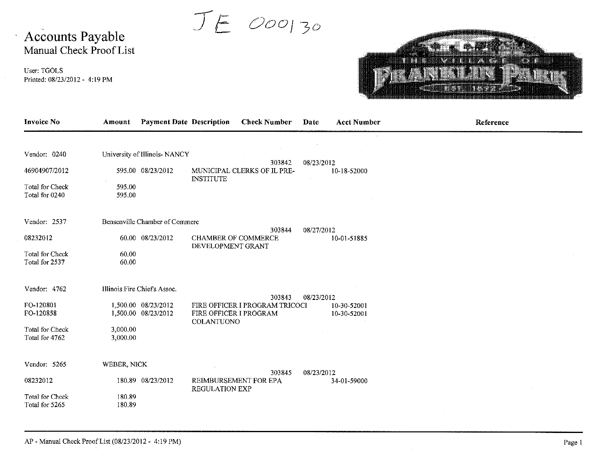JE 000130

# Accounts Payable<br>Manual Check Proof List

User: TGOLS Printed: 08/23/2012 - 4:19 PM

 $\mathbf{v}$ 



| <b>Invoice No</b>                                                           | Amount                                                                                             | <b>Payment Date Description</b><br><b>Check Number</b>                                  | <b>Acct Number</b><br>Date               | Reference |
|-----------------------------------------------------------------------------|----------------------------------------------------------------------------------------------------|-----------------------------------------------------------------------------------------|------------------------------------------|-----------|
| Vendor: 0240<br>46904907/2012<br>Total for Check<br>Total for 0240          | University of Illinois- NANCY<br>595.00 08/23/2012<br>595.00<br>595.00                             | 303842<br>MUNICIPAL CLERKS OF IL PRE-<br><b>INSTITUTE</b>                               | 08/23/2012<br>10-18-52000                |           |
| Vendor: 2537<br>08232012<br><b>Total for Check</b><br>Total for 2537        | Bensenville Chamber of Commerc<br>60.00 08/23/2012<br>60.00<br>60.00                               | 303844<br><b>CHAMBER OF COMMERCE</b><br>DEVELOPMENT GRANT                               | 08/27/2012<br>10-01-51885                |           |
| Vendor: 4762<br>FO-120801<br>FO-120858<br>Total for Check<br>Total for 4762 | Illinois Fire Chief's Assoc.<br>1,500.00 08/23/2012<br>1,500.00 08/23/2012<br>3,000.00<br>3,000.00 | 303843<br>FIRE OFFICER I PROGRAM TRICOCI<br>FIRE OFFICER I PROGRAM<br><b>COLANTUONO</b> | 08/23/2012<br>10-30-52001<br>10-30-52001 |           |
| Vendor: 5265<br>08232012<br>Total for Check<br>Total for 5265               | WEBER, NICK<br>180.89 08/23/2012<br>180.89<br>180.89                                               | 303845<br>REIMBURSEMENT FOR EPA<br><b>REGULATION EXP</b>                                | 08/23/2012<br>34-01-59000                |           |

AP - Manual Check Proof List (08/23/2012 - 4:19 PM)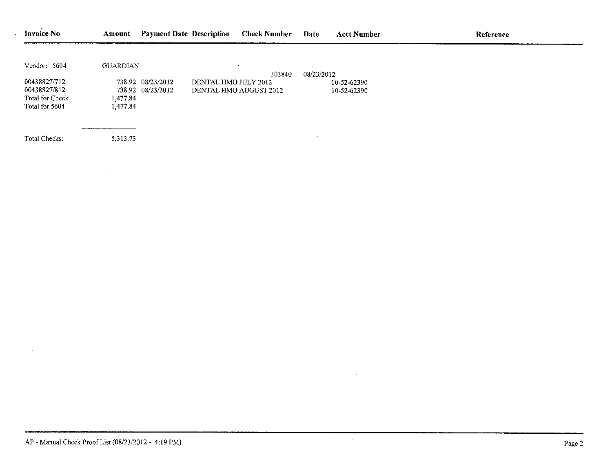| <b>Invoice No</b> | Amount          | <b>Payment Date Description</b>        |                      | <b>Check Number</b>    | Date       | <b>Acct Number</b> | Reference |
|-------------------|-----------------|----------------------------------------|----------------------|------------------------|------------|--------------------|-----------|
|                   |                 |                                        |                      |                        |            |                    |           |
| Vendor: 5604      | <b>GUARDIAN</b> |                                        |                      |                        |            |                    |           |
| 00438827/712      |                 |                                        |                      | 303840                 | 08/23/2012 |                    |           |
| 00438827/812      |                 | 738.92 08/23/2012<br>738.92 08/23/2012 | DENTAL HMO JULY 2012 |                        |            | 10-52-62390        |           |
| Total for Check   |                 |                                        |                      | DENTAL HMO AUGUST 2012 |            | 10-52-62390        |           |
| Total for 5604    | 1,477.84        |                                        |                      |                        |            |                    |           |
|                   | 1,477.84        |                                        |                      |                        |            |                    |           |
|                   |                 |                                        |                      |                        |            |                    |           |
| Total Checks:     | 5,313.73        |                                        |                      |                        |            |                    |           |

 $\ddot{\phantom{1}}$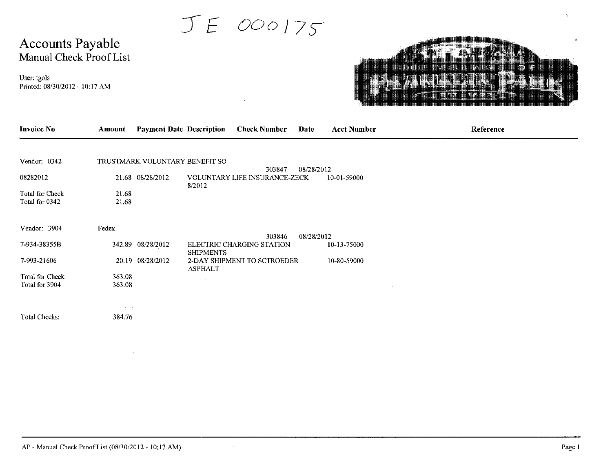JE 000175

# Accounts Payable<br>Manual Check Proof List

User: tgols Printed: 08/30/2012 - 10:17 AM



| <b>Invoice No</b>                 | Amount           | <b>Payment Date Description</b> |                  | <b>Check Number</b>                  | Date       | <b>Acct Number</b> | Reference |
|-----------------------------------|------------------|---------------------------------|------------------|--------------------------------------|------------|--------------------|-----------|
|                                   |                  |                                 |                  |                                      |            |                    |           |
| Vendor: 0342                      |                  | TRUSTMARK VOLUNTARY BENEFIT SO  |                  | 303847                               | 08/28/2012 |                    |           |
| 08282012                          |                  | 21.68 08/28/2012                | 8/2012           | <b>VOLUNTARY LIFE INSURANCE-ZECK</b> |            | 10-01-59000        |           |
| Total for Check<br>Total for 0342 | 21.68<br>21.68   |                                 |                  |                                      |            |                    |           |
| Vendor: 3904                      | Fedex            |                                 |                  | 303846                               | 08/28/2012 |                    |           |
| 7-934-38355B                      |                  | 342.89 08/28/2012               | <b>SHIPMENTS</b> | ELECTRIC CHARGING STATION            |            | 10-13-75000        |           |
| 7-993-21606                       |                  | 20.19 08/28/2012                | <b>ASPHALT</b>   | 2-DAY SHIPMENT TO SCTROEDER          |            | 10-80-59000        |           |
| Total for Check<br>Total for 3904 | 363.08<br>363.08 |                                 |                  |                                      |            |                    |           |
| Total Checks:                     | 384.76           |                                 |                  |                                      |            |                    |           |
|                                   |                  |                                 |                  |                                      |            |                    |           |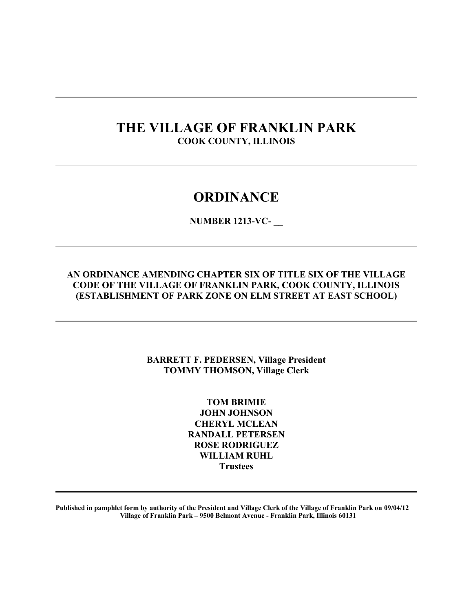## **THE VILLAGE OF FRANKLIN PARK COOK COUNTY, ILLINOIS**

 $\overline{a}$ 

 $\overline{a}$ 

 $\overline{a}$ 

 $\overline{a}$ 

 $\overline{a}$ 

## **ORDINANCE**

**NUMBER 1213-VC- \_\_** 

### **AN ORDINANCE AMENDING CHAPTER SIX OF TITLE SIX OF THE VILLAGE CODE OF THE VILLAGE OF FRANKLIN PARK, COOK COUNTY, ILLINOIS (ESTABLISHMENT OF PARK ZONE ON ELM STREET AT EAST SCHOOL)**

### **BARRETT F. PEDERSEN, Village President TOMMY THOMSON, Village Clerk**

**TOM BRIMIE JOHN JOHNSON CHERYL MCLEAN RANDALL PETERSEN ROSE RODRIGUEZ WILLIAM RUHL Trustees** 

**Published in pamphlet form by authority of the President and Village Clerk of the Village of Franklin Park on 09/04/12 Village of Franklin Park – 9500 Belmont Avenue - Franklin Park, Illinois 60131**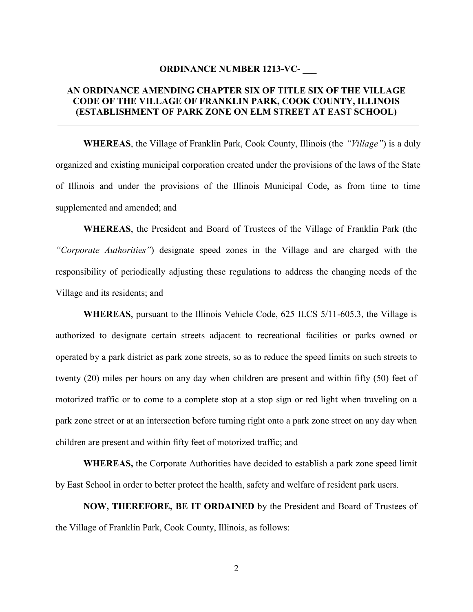#### **ORDINANCE NUMBER 1213-VC- \_\_\_**

#### **AN ORDINANCE AMENDING CHAPTER SIX OF TITLE SIX OF THE VILLAGE CODE OF THE VILLAGE OF FRANKLIN PARK, COOK COUNTY, ILLINOIS (ESTABLISHMENT OF PARK ZONE ON ELM STREET AT EAST SCHOOL)**

 $\overline{a}$ 

**WHEREAS**, the Village of Franklin Park, Cook County, Illinois (the *"Village"*) is a duly organized and existing municipal corporation created under the provisions of the laws of the State of Illinois and under the provisions of the Illinois Municipal Code, as from time to time supplemented and amended; and

**WHEREAS**, the President and Board of Trustees of the Village of Franklin Park (the *"Corporate Authorities"*) designate speed zones in the Village and are charged with the responsibility of periodically adjusting these regulations to address the changing needs of the Village and its residents; and

**WHEREAS**, pursuant to the Illinois Vehicle Code, 625 ILCS 5/11-605.3, the Village is authorized to designate certain streets adjacent to recreational facilities or parks owned or operated by a park district as park zone streets, so as to reduce the speed limits on such streets to twenty (20) miles per hours on any day when children are present and within fifty (50) feet of motorized traffic or to come to a complete stop at a stop sign or red light when traveling on a park zone street or at an intersection before turning right onto a park zone street on any day when children are present and within fifty feet of motorized traffic; and

**WHEREAS,** the Corporate Authorities have decided to establish a park zone speed limit by East School in order to better protect the health, safety and welfare of resident park users.

**NOW, THEREFORE, BE IT ORDAINED** by the President and Board of Trustees of the Village of Franklin Park, Cook County, Illinois, as follows: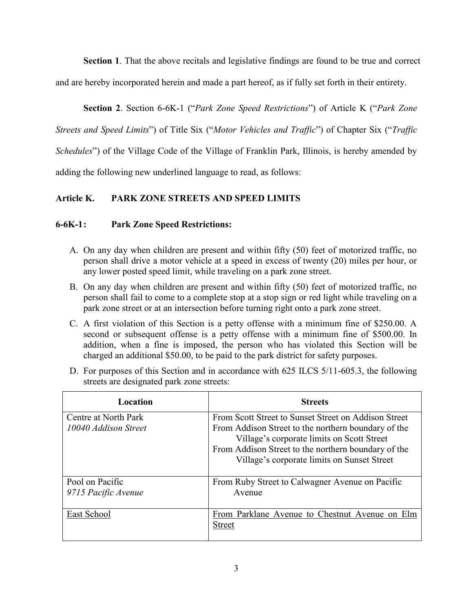**Section 1**. That the above recitals and legislative findings are found to be true and correct

and are hereby incorporated herein and made a part hereof, as if fully set forth in their entirety.

 **Section 2**. Section 6-6K-1 ("*Park Zone Speed Restrictions*") of Article K ("*Park Zone* 

*Streets and Speed Limits*") of Title Six ("*Motor Vehicles and Traffic*") of Chapter Six ("*Traffic* 

*Schedules*") of the Village Code of the Village of Franklin Park, Illinois, is hereby amended by

adding the following new underlined language to read, as follows:

## **Article K. PARK ZONE STREETS AND SPEED LIMITS**

### **6-6K-1 : Park Zone Speed Restrictions:**

- A. On any day when children are present and within fifty (50) feet of motorized traffic, no person shall drive a motor vehicle at a speed in excess of twenty (20) miles per hour, or any lower posted speed limit, while traveling on a park zone street.
- B. On any day when children are present and within fifty (50) feet of motorized traffic, no person shall fail to come to a complete stop at a stop sign or red light while traveling on a park zone street or at an intersection before turning right onto a park zone street.
- C. A first violation of this Section is a petty offense with a minimum fine of \$250.00. A second or subsequent offense is a petty offense with a minimum fine of \$500.00. In addition, when a fine is imposed, the person who has violated this Section will be charged an additional \$50.00, to be paid to the park district for safety purposes.

| Location                                     | <b>Streets</b>                                                                                                                                                                                                                                                  |  |  |  |
|----------------------------------------------|-----------------------------------------------------------------------------------------------------------------------------------------------------------------------------------------------------------------------------------------------------------------|--|--|--|
| Centre at North Park<br>10040 Addison Street | From Scott Street to Sunset Street on Addison Street<br>From Addison Street to the northern boundary of the<br>Village's corporate limits on Scott Street<br>From Addison Street to the northern boundary of the<br>Village's corporate limits on Sunset Street |  |  |  |
| Pool on Pacific<br>9715 Pacific Avenue       | From Ruby Street to Calwagner Avenue on Pacific<br>Avenue                                                                                                                                                                                                       |  |  |  |
| East School                                  | From Parklane Avenue to Chestnut Avenue on Elm<br><b>Street</b>                                                                                                                                                                                                 |  |  |  |

D. For purposes of this Section and in accordance with 625 ILCS 5/11-605.3, the following streets are designated park zone streets: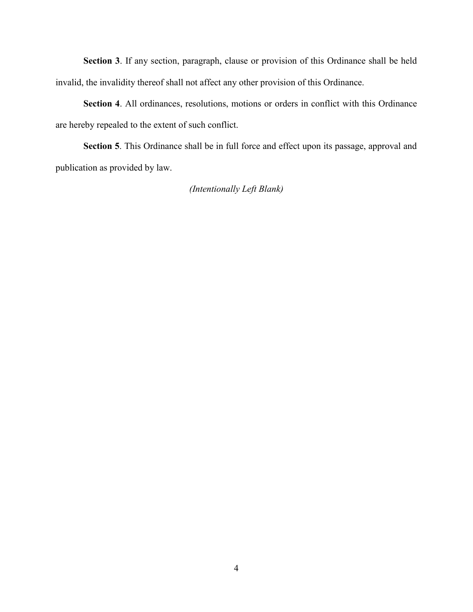**Section 3**. If any section, paragraph, clause or provision of this Ordinance shall be held invalid, the invalidity thereof shall not affect any other provision of this Ordinance.

**Section 4**. All ordinances, resolutions, motions or orders in conflict with this Ordinance are hereby repealed to the extent of such conflict.

**Section 5**. This Ordinance shall be in full force and effect upon its passage, approval and publication as provided by law.

*(Intentionally Left Blank)*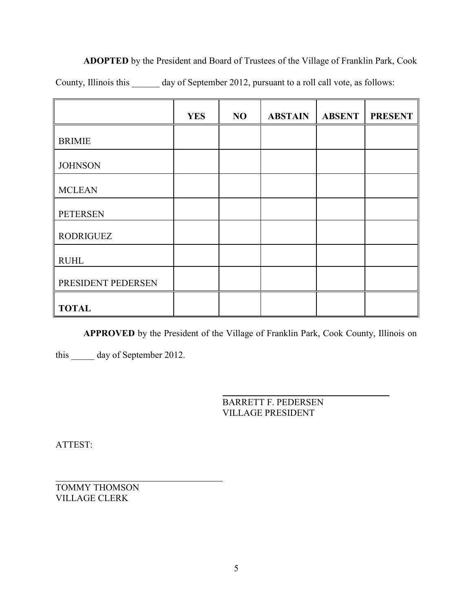**ADOPTED** by the President and Board of Trustees of the Village of Franklin Park, Cook County, Illinois this \_\_\_\_\_\_ day of September 2012, pursuant to a roll call vote, as follows:

|                    | <b>YES</b> | NO | <b>ABSTAIN</b> | <b>ABSENT</b> | <b>PRESENT</b> |
|--------------------|------------|----|----------------|---------------|----------------|
| <b>BRIMIE</b>      |            |    |                |               |                |
| <b>JOHNSON</b>     |            |    |                |               |                |
| <b>MCLEAN</b>      |            |    |                |               |                |
| <b>PETERSEN</b>    |            |    |                |               |                |
| <b>RODRIGUEZ</b>   |            |    |                |               |                |
| <b>RUHL</b>        |            |    |                |               |                |
| PRESIDENT PEDERSEN |            |    |                |               |                |
| <b>TOTAL</b>       |            |    |                |               |                |

**APPROVED** by the President of the Village of Franklin Park, Cook County, Illinois on

this \_\_\_\_\_ day of September 2012.

 $\overline{a}$ BARRETT F. PEDERSEN VILLAGE PRESIDENT

ATTEST:

 $\overline{a}$ TOMMY THOMSON VILLAGE CLERK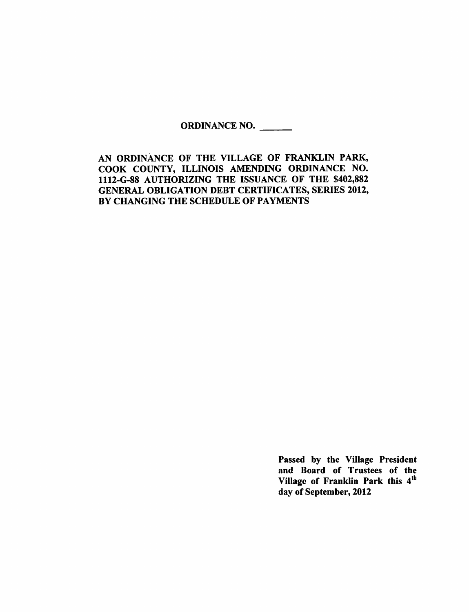#### ORDINANCE NO.

AN ORDINANCE OF THE VILLAGE OF FRANKLIN PARK, COOK COUNTY, ILLINOIS AMENDING ORDINANCE NO. 1112-G-88 AUTHORIZING THE ISSUANCE OF THE \$402,882 **GENERAL OBLIGATION DEBT CERTIFICATES, SERIES 2012,** BY CHANGING THE SCHEDULE OF PAYMENTS

> Passed by the Village President and Board of Trustees of the Village of Franklin Park this 4th day of September, 2012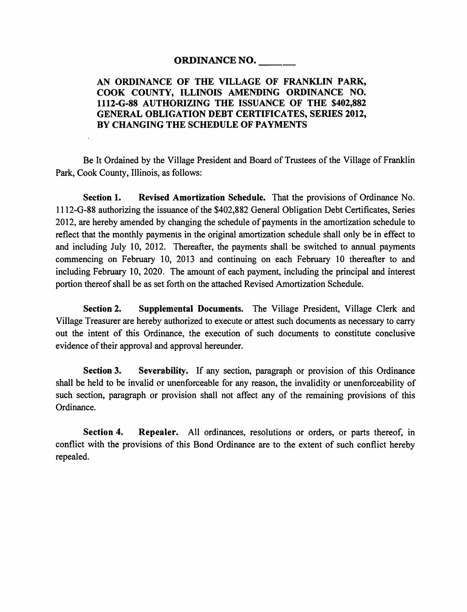#### **ORDINANCE NO.**

#### AN ORDINANCE OF THE VILLAGE OF FRANKLIN PARK, COOK COUNTY, ILLINOIS AMENDING ORDINANCE NO. 1112-G-88 AUTHORIZING THE ISSUANCE OF THE \$402,882 **GENERAL OBLIGATION DEBT CERTIFICATES, SERIES 2012,** BY CHANGING THE SCHEDULE OF PAYMENTS

Be It Ordained by the Village President and Board of Trustees of the Village of Franklin Park, Cook County, Illinois, as follows:

Section 1. Revised Amortization Schedule. That the provisions of Ordinance No. 1112-G-88 authorizing the issuance of the \$402,882 General Obligation Debt Certificates, Series 2012, are hereby amended by changing the schedule of payments in the amortization schedule to reflect that the monthly payments in the original amortization schedule shall only be in effect to and including July 10, 2012. Thereafter, the payments shall be switched to annual payments commencing on February 10, 2013 and continuing on each February 10 thereafter to and including February 10, 2020. The amount of each payment, including the principal and interest portion thereof shall be as set forth on the attached Revised Amortization Schedule.

**Section 2.** Supplemental Documents. The Village President, Village Clerk and Village Treasurer are hereby authorized to execute or attest such documents as necessary to carry out the intent of this Ordinance, the execution of such documents to constitute conclusive evidence of their approval and approval hereunder.

Section 3. Severability. If any section, paragraph or provision of this Ordinance shall be held to be invalid or unenforceable for any reason, the invalidity or unenforceability of such section, paragraph or provision shall not affect any of the remaining provisions of this Ordinance.

Section 4. Repealer. All ordinances, resolutions or orders, or parts thereof, in conflict with the provisions of this Bond Ordinance are to the extent of such conflict hereby repealed.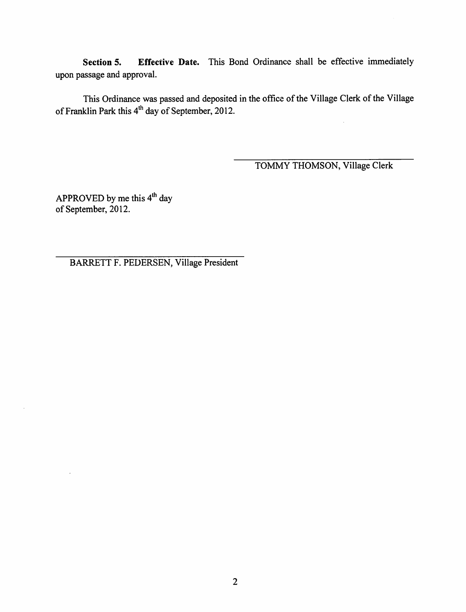Effective Date. This Bond Ordinance shall be effective immediately Section 5. upon passage and approval.

This Ordinance was passed and deposited in the office of the Village Clerk of the Village of Franklin Park this 4<sup>th</sup> day of September, 2012.

TOMMY THOMSON, Village Clerk

APPROVED by me this 4<sup>th</sup> day of September, 2012.

BARRETT F. PEDERSEN, Village President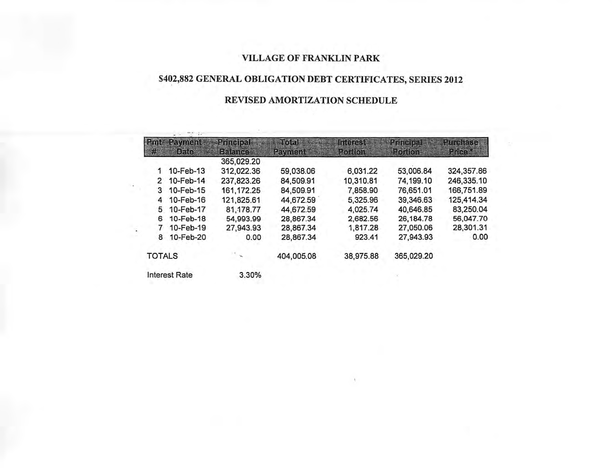### VILLAGE OF FRANKLIN PARK

## \$402,882 GENERAL OBLIGATION DEBT CERTIFICATES, SERIES 2012

## REVISED AMORTIZATION SCHEDULE

| <b>Rmt</b>    | <b>Rayment</b>       | Phinelpal    | $T$ oiall       | Interest  | <b>Britished Dell</b> | <b>Plutofrase</b> |
|---------------|----------------------|--------------|-----------------|-----------|-----------------------|-------------------|
| 鱡             | DF(0)                | s            | <b>REVITEIN</b> | Portion   | Portford              | MARDE             |
|               |                      | 365,029.20   |                 |           |                       |                   |
| 1             | 10-Feb-13            | 312,022.36   | 59,038.06       | 6,031.22  | 53,006.84             | 324,357.86        |
| 2             | 10-Feb-14            | 237,823.26   | 84,509.91       | 10,310.81 | 74,199.10             | 246,335.10        |
| 3             | 10-Feb-15            | 161, 172. 25 | 84,509.91       | 7,858.90  | 76,651.01             | 166,751.89        |
| 4             | 10-Feb-16            | 121,825.61   | 44,672.59       | 5,325.96  | 39,346.63             | 125,414.34        |
| 5             | 10-Feb-17            | 81,178.77    | 44,672.59       | 4,025.74  | 40,646.85             | 83,250.04         |
| 6             | 10-Feb-18            | 54,993.99    | 28,867.34       | 2,682.56  | 26,184.78             | 56,047.70         |
| 7             | 10-Feb-19            | 27,943.93    | 28,867.34       | 1,817.28  | 27,050.06             | 28,301.31         |
| 8             | 10-Feb-20            | 0.00         | 28,867.34       | 923.41    | 27,943.93             | 0.00              |
| <b>TOTALS</b> |                      |              | 404,005.08      | 38,975.88 | 365,029.20            |                   |
|               | <b>Interest Rate</b> | 3.30%        |                 |           |                       |                   |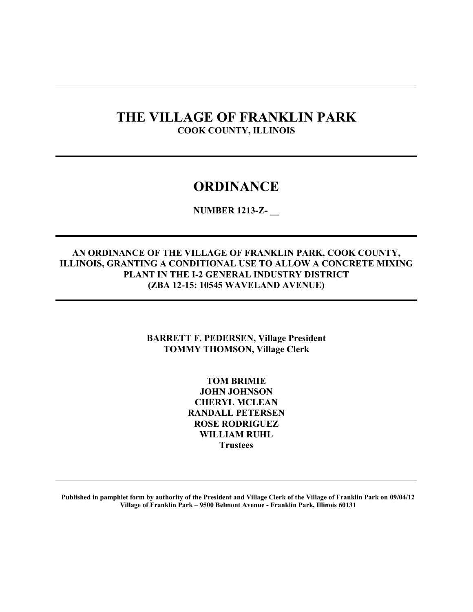## **THE VILLAGE OF FRANKLIN PARK COOK COUNTY, ILLINOIS**

 $\overline{a}$ 

 $\overline{a}$ 

## **ORDINANCE**

**NUMBER 1213-Z- \_\_** 

#### **AN ORDINANCE OF THE VILLAGE OF FRANKLIN PARK, COOK COUNTY, ILLINOIS, GRANTING A CONDITIONAL USE TO ALLOW A CONCRETE MIXING PLANT IN THE I-2 GENERAL INDUSTRY DISTRICT (ZBA 12-15: 10545 WAVELAND AVENUE)**

**BARRETT F. PEDERSEN, Village President TOMMY THOMSON, Village Clerk** 

> **TOM BRIMIE JOHN JOHNSON CHERYL MCLEAN RANDALL PETERSEN ROSE RODRIGUEZ WILLIAM RUHL Trustees**

**Published in pamphlet form by authority of the President and Village Clerk of the Village of Franklin Park on 09/04/12 Village of Franklin Park – 9500 Belmont Avenue - Franklin Park, Illinois 60131**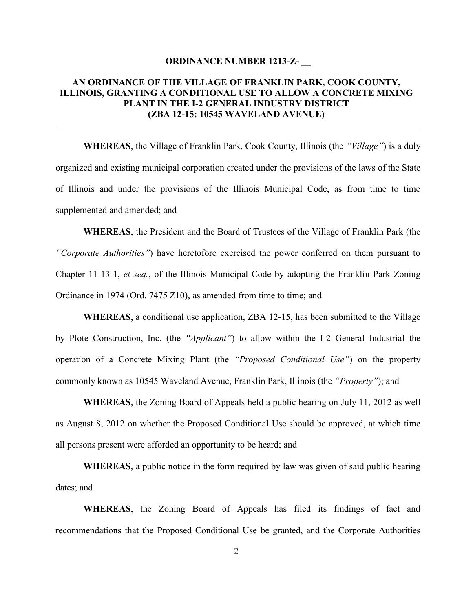#### **ORDINANCE NUMBER 1213-Z- \_\_**

#### **AN ORDINANCE OF THE VILLAGE OF FRANKLIN PARK, COOK COUNTY, ILLINOIS, GRANTING A CONDITIONAL USE TO ALLOW A CONCRETE MIXING PLANT IN THE I-2 GENERAL INDUSTRY DISTRICT (ZBA 12-15: 10545 WAVELAND AVENUE)**

 $\overline{a}$ 

**WHEREAS**, the Village of Franklin Park, Cook County, Illinois (the *"Village"*) is a duly organized and existing municipal corporation created under the provisions of the laws of the State of Illinois and under the provisions of the Illinois Municipal Code, as from time to time supplemented and amended; and

**WHEREAS**, the President and the Board of Trustees of the Village of Franklin Park (the *"Corporate Authorities"*) have heretofore exercised the power conferred on them pursuant to Chapter 11-13-1, *et seq.*, of the Illinois Municipal Code by adopting the Franklin Park Zoning Ordinance in 1974 (Ord. 7475 Z10), as amended from time to time; and

**WHEREAS**, a conditional use application, ZBA 12-15, has been submitted to the Village by Plote Construction, Inc. (the *"Applicant"*) to allow within the I-2 General Industrial the operation of a Concrete Mixing Plant (the *"Proposed Conditional Use"*) on the property commonly known as 10545 Waveland Avenue, Franklin Park, Illinois (the *"Property"*); and

**WHEREAS**, the Zoning Board of Appeals held a public hearing on July 11, 2012 as well as August 8, 2012 on whether the Proposed Conditional Use should be approved, at which time all persons present were afforded an opportunity to be heard; and

**WHEREAS**, a public notice in the form required by law was given of said public hearing dates; and

**WHEREAS**, the Zoning Board of Appeals has filed its findings of fact and recommendations that the Proposed Conditional Use be granted, and the Corporate Authorities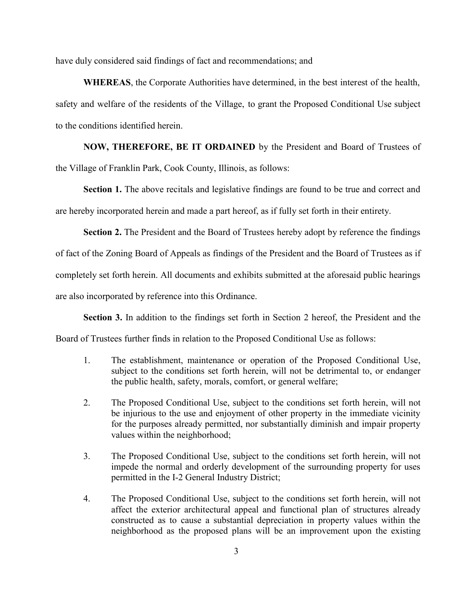have duly considered said findings of fact and recommendations; and

**WHEREAS**, the Corporate Authorities have determined, in the best interest of the health, safety and welfare of the residents of the Village, to grant the Proposed Conditional Use subject to the conditions identified herein.

**NOW, THEREFORE, BE IT ORDAINED** by the President and Board of Trustees of the Village of Franklin Park, Cook County, Illinois, as follows:

**Section 1.** The above recitals and legislative findings are found to be true and correct and are hereby incorporated herein and made a part hereof, as if fully set forth in their entirety.

**Section 2.** The President and the Board of Trustees hereby adopt by reference the findings of fact of the Zoning Board of Appeals as findings of the President and the Board of Trustees as if completely set forth herein. All documents and exhibits submitted at the aforesaid public hearings are also incorporated by reference into this Ordinance.

**Section 3.** In addition to the findings set forth in Section 2 hereof, the President and the Board of Trustees further finds in relation to the Proposed Conditional Use as follows:

- 1. The establishment, maintenance or operation of the Proposed Conditional Use, subject to the conditions set forth herein, will not be detrimental to, or endanger the public health, safety, morals, comfort, or general welfare;
- 2. The Proposed Conditional Use, subject to the conditions set forth herein, will not be injurious to the use and enjoyment of other property in the immediate vicinity for the purposes already permitted, nor substantially diminish and impair property values within the neighborhood;
- 3. The Proposed Conditional Use, subject to the conditions set forth herein, will not impede the normal and orderly development of the surrounding property for uses permitted in the I-2 General Industry District;
- 4. The Proposed Conditional Use, subject to the conditions set forth herein, will not affect the exterior architectural appeal and functional plan of structures already constructed as to cause a substantial depreciation in property values within the neighborhood as the proposed plans will be an improvement upon the existing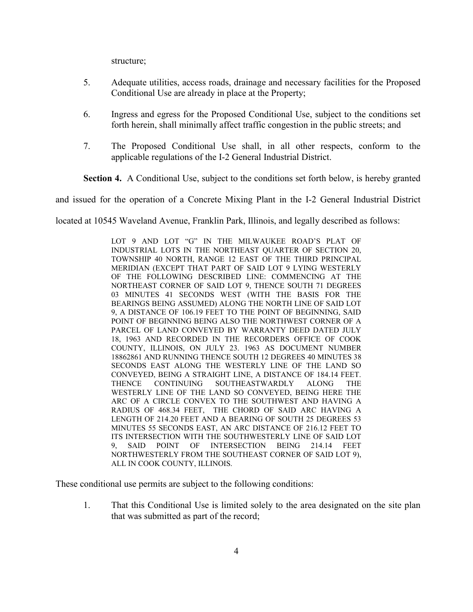structure;

- 5. Adequate utilities, access roads, drainage and necessary facilities for the Proposed Conditional Use are already in place at the Property;
- 6. Ingress and egress for the Proposed Conditional Use, subject to the conditions set forth herein, shall minimally affect traffic congestion in the public streets; and
- 7. The Proposed Conditional Use shall, in all other respects, conform to the applicable regulations of the I-2 General Industrial District.

**Section 4.** A Conditional Use, subject to the conditions set forth below, is hereby granted

and issued for the operation of a Concrete Mixing Plant in the I-2 General Industrial District

located at 10545 Waveland Avenue, Franklin Park, Illinois, and legally described as follows:

LOT 9 AND LOT "G" IN THE MILWAUKEE ROAD'S PLAT OF INDUSTRIAL LOTS IN THE NORTHEAST QUARTER OF SECTION 20, TOWNSHIP 40 NORTH, RANGE 12 EAST OF THE THIRD PRINCIPAL MERIDIAN (EXCEPT THAT PART OF SAID LOT 9 LYING WESTERLY OF THE FOLLOWING DESCRIBED LINE: COMMENCING AT THE NORTHEAST CORNER OF SAID LOT 9, THENCE SOUTH 71 DEGREES 03 MINUTES 41 SECONDS WEST (WITH THE BASIS FOR THE BEARINGS BEING ASSUMED) ALONG THE NORTH LINE OF SAID LOT 9, A DISTANCE OF 106.19 FEET TO THE POINT OF BEGINNING, SAID POINT OF BEGINNING BEING ALSO THE NORTHWEST CORNER OF A PARCEL OF LAND CONVEYED BY WARRANTY DEED DATED JULY 18, 1963 AND RECORDED IN THE RECORDERS OFFICE OF COOK COUNTY, ILLINOIS, ON JULY 23. 1963 AS DOCUMENT NUMBER 18862861 AND RUNNING THENCE SOUTH 12 DEGREES 40 MINUTES 38 SECONDS EAST ALONG THE WESTERLY LINE OF THE LAND SO CONVEYED, BEING A STRAIGHT LINE, A DISTANCE OF 184.14 FEET. THENCE CONTINUING SOUTHEASTWARDLY ALONG THE WESTERLY LINE OF THE LAND SO CONVEYED, BEING HERE THE ARC OF A CIRCLE CONVEX TO THE SOUTHWEST AND HAVING A RADIUS OF 468.34 FEET, THE CHORD OF SAID ARC HAVING A LENGTH OF 214.20 FEET AND A BEARING OF SOUTH 25 DEGREES 53 MINUTES 55 SECONDS EAST, AN ARC DISTANCE OF 216.12 FEET TO ITS INTERSECTION WITH THE SOUTHWESTERLY LINE OF SAID LOT 9 SAID POINT OF INTERSECTION BEING 214.14 FEET SAID POINT OF INTERSECTION BEING 214.14 FEET NORTHWESTERLY FROM THE SOUTHEAST CORNER OF SAID LOT 9), ALL IN COOK COUNTY, ILLINOIS.

These conditional use permits are subject to the following conditions:

1. That this Conditional Use is limited solely to the area designated on the site plan that was submitted as part of the record;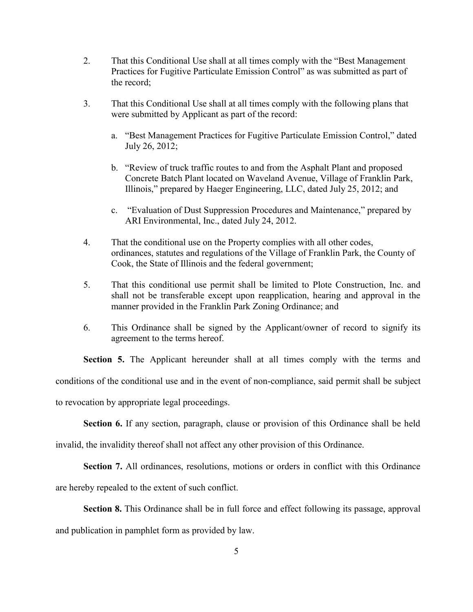- 2. That this Conditional Use shall at all times comply with the "Best Management Practices for Fugitive Particulate Emission Control" as was submitted as part of the record;
- 3. That this Conditional Use shall at all times comply with the following plans that were submitted by Applicant as part of the record:
	- a. "Best Management Practices for Fugitive Particulate Emission Control," dated July 26, 2012;
	- b. "Review of truck traffic routes to and from the Asphalt Plant and proposed Concrete Batch Plant located on Waveland Avenue, Village of Franklin Park, Illinois," prepared by Haeger Engineering, LLC, dated July 25, 2012; and
	- c. "Evaluation of Dust Suppression Procedures and Maintenance," prepared by ARI Environmental, Inc., dated July 24, 2012.
- 4. That the conditional use on the Property complies with all other codes, ordinances, statutes and regulations of the Village of Franklin Park, the County of Cook, the State of Illinois and the federal government;
- 5. That this conditional use permit shall be limited to Plote Construction, Inc. and shall not be transferable except upon reapplication, hearing and approval in the manner provided in the Franklin Park Zoning Ordinance; and
- 6. This Ordinance shall be signed by the Applicant/owner of record to signify its agreement to the terms hereof.

**Section 5.** The Applicant hereunder shall at all times comply with the terms and conditions of the conditional use and in the event of non-compliance, said permit shall be subject to revocation by appropriate legal proceedings.

**Section 6.** If any section, paragraph, clause or provision of this Ordinance shall be held

invalid, the invalidity thereof shall not affect any other provision of this Ordinance.

**Section 7.** All ordinances, resolutions, motions or orders in conflict with this Ordinance

are hereby repealed to the extent of such conflict.

**Section 8.** This Ordinance shall be in full force and effect following its passage, approval and publication in pamphlet form as provided by law.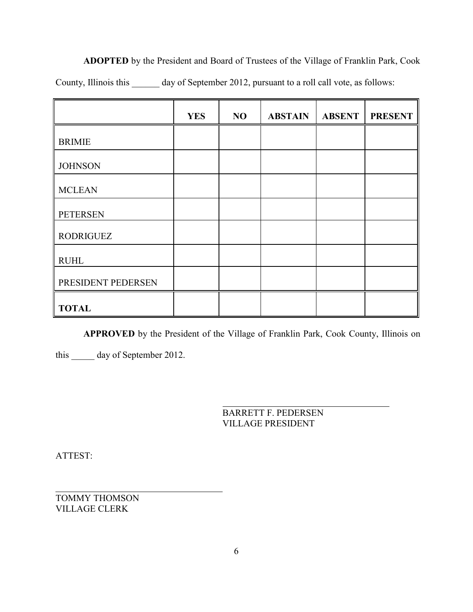**ADOPTED** by the President and Board of Trustees of the Village of Franklin Park, Cook County, Illinois this \_\_\_\_\_\_ day of September 2012, pursuant to a roll call vote, as follows:

|                    | <b>YES</b> | N <sub>O</sub> | <b>ABSTAIN</b> | <b>ABSENT</b> | <b>PRESENT</b> |
|--------------------|------------|----------------|----------------|---------------|----------------|
| <b>BRIMIE</b>      |            |                |                |               |                |
| <b>JOHNSON</b>     |            |                |                |               |                |
| <b>MCLEAN</b>      |            |                |                |               |                |
| <b>PETERSEN</b>    |            |                |                |               |                |
| <b>RODRIGUEZ</b>   |            |                |                |               |                |
| <b>RUHL</b>        |            |                |                |               |                |
| PRESIDENT PEDERSEN |            |                |                |               |                |
| <b>TOTAL</b>       |            |                |                |               |                |

**APPROVED** by the President of the Village of Franklin Park, Cook County, Illinois on

 $\overline{a}$ 

this \_\_\_\_\_ day of September 2012.

BARRETT F. PEDERSEN VILLAGE PRESIDENT

ATTEST:

 $\overline{a}$ TOMMY THOMSON VILLAGE CLERK